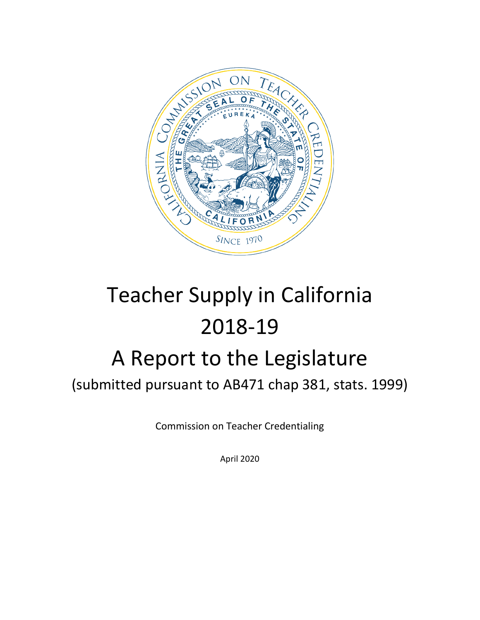

# Teacher Supply in California 2018-19 A Report to the Legislature

(submitted pursuant to AB471 chap 381, stats. 1999)

Commission on Teacher Credentialing

April 2020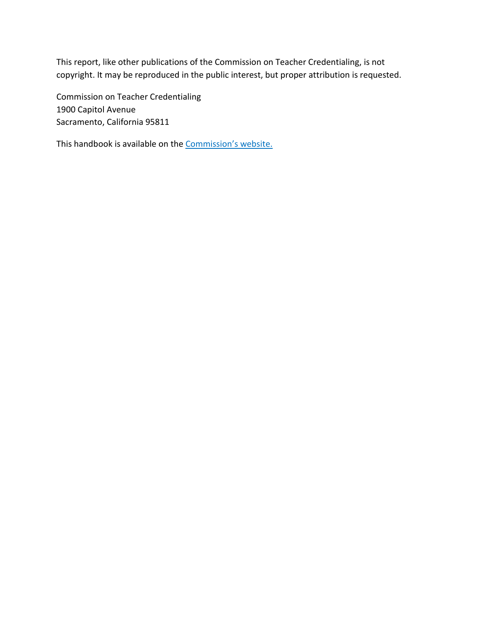This report, like other publications of the Commission on Teacher Credentialing, is not copyright. It may be reproduced in the public interest, but proper attribution is requested.

Commission on Teacher Credentialing 1900 Capitol Avenue Sacramento, California 95811

This handbook is available on the Commission's website.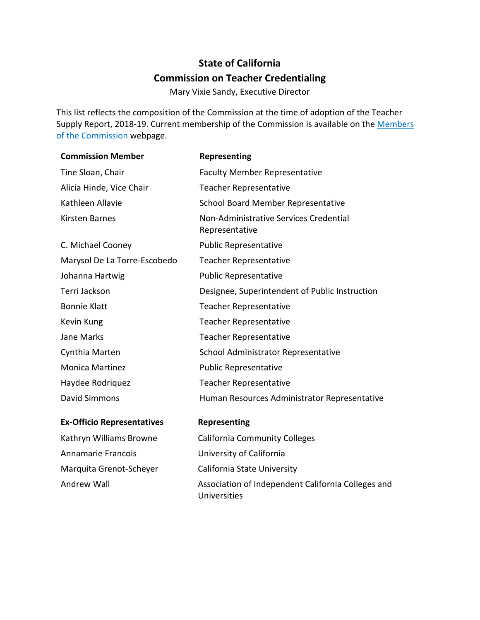# **State of California Commission on Teacher Credentialing**

Mary Vixie Sandy, Executive Director

This list reflects the composition of the Commission at the time of adoption of the Teacher Supply Report, 2018-19. Current membership of the Commission is available on the Members [of the Commission](https://www.ctc.ca.gov/commission/commissioners) webpage.

| <b>Commission Member</b>          | Representing                                                       |
|-----------------------------------|--------------------------------------------------------------------|
| Tine Sloan, Chair                 | <b>Faculty Member Representative</b>                               |
| Alicia Hinde, Vice Chair          | <b>Teacher Representative</b>                                      |
| Kathleen Allavie                  | School Board Member Representative                                 |
| <b>Kirsten Barnes</b>             | Non-Administrative Services Credential<br>Representative           |
| C. Michael Cooney                 | <b>Public Representative</b>                                       |
| Marysol De La Torre-Escobedo      | <b>Teacher Representative</b>                                      |
| Johanna Hartwig                   | <b>Public Representative</b>                                       |
| Terri Jackson                     | Designee, Superintendent of Public Instruction                     |
| <b>Bonnie Klatt</b>               | <b>Teacher Representative</b>                                      |
| Kevin Kung                        | <b>Teacher Representative</b>                                      |
| <b>Jane Marks</b>                 | <b>Teacher Representative</b>                                      |
| Cynthia Marten                    | School Administrator Representative                                |
| <b>Monica Martinez</b>            | <b>Public Representative</b>                                       |
| Haydee Rodriquez                  | <b>Teacher Representative</b>                                      |
| David Simmons                     | Human Resources Administrator Representative                       |
| <b>Ex-Officio Representatives</b> | Representing                                                       |
| Kathryn Williams Browne           | <b>California Community Colleges</b>                               |
| Annamarie Francois                | University of California                                           |
| Marquita Grenot-Scheyer           | California State University                                        |
| <b>Andrew Wall</b>                | Association of Independent California Colleges and<br>Universities |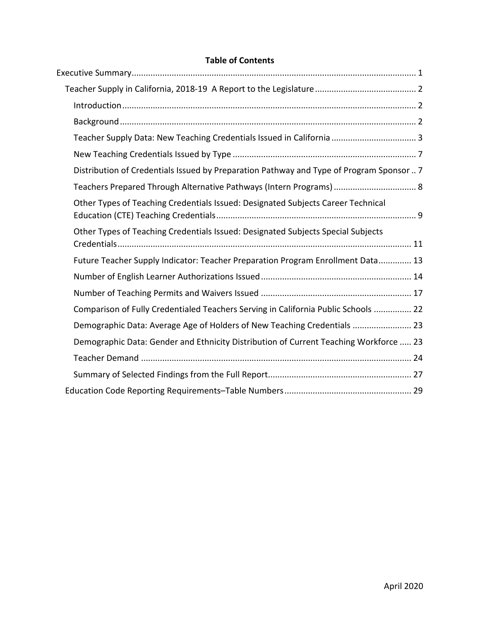# **Table of Contents**

| Distribution of Credentials Issued by Preparation Pathway and Type of Program Sponsor  7 |
|------------------------------------------------------------------------------------------|
| Teachers Prepared Through Alternative Pathways (Intern Programs)  8                      |
| Other Types of Teaching Credentials Issued: Designated Subjects Career Technical         |
| Other Types of Teaching Credentials Issued: Designated Subjects Special Subjects         |
| Future Teacher Supply Indicator: Teacher Preparation Program Enrollment Data 13          |
|                                                                                          |
|                                                                                          |
| Comparison of Fully Credentialed Teachers Serving in California Public Schools  22       |
| Demographic Data: Average Age of Holders of New Teaching Credentials  23                 |
| Demographic Data: Gender and Ethnicity Distribution of Current Teaching Workforce  23    |
|                                                                                          |
|                                                                                          |
|                                                                                          |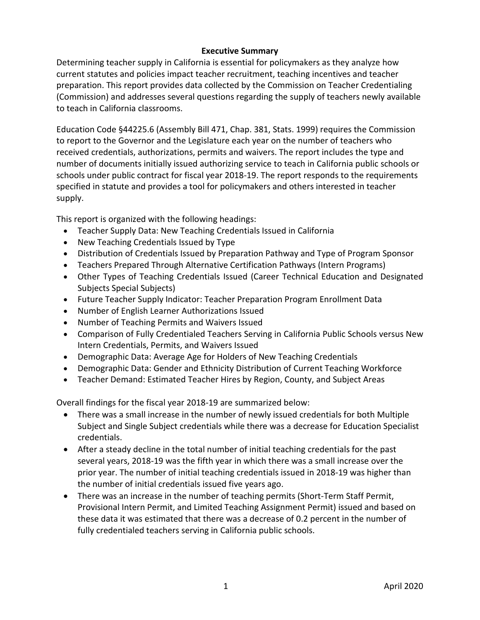#### **Executive Summary**

<span id="page-4-0"></span>Determining teacher supply in California is essential for policymakers as they analyze how current statutes and policies impact teacher recruitment, teaching incentives and teacher preparation. This report provides data collected by the Commission on Teacher Credentialing (Commission) and addresses several questions regarding the supply of teachers newly available to teach in California classrooms.

Education Code §44225.6 (Assembly Bill 471, Chap. 381, Stats. 1999) requires the Commission to report to the Governor and the Legislature each year on the number of teachers who received credentials, authorizations, permits and waivers. The report includes the type and number of documents initially issued authorizing service to teach in California public schools or schools under public contract for fiscal year 2018-19. The report responds to the requirements specified in statute and provides a tool for policymakers and others interested in teacher supply.

This report is organized with the following headings:

- Teacher Supply Data: New Teaching Credentials Issued in California
- New Teaching Credentials Issued by Type
- Distribution of Credentials Issued by Preparation Pathway and Type of Program Sponsor
- Teachers Prepared Through Alternative Certification Pathways (Intern Programs)
- Other Types of Teaching Credentials Issued (Career Technical Education and Designated Subjects Special Subjects)
- Future Teacher Supply Indicator: Teacher Preparation Program Enrollment Data
- Number of English Learner Authorizations Issued
- Number of Teaching Permits and Waivers Issued
- Comparison of Fully Credentialed Teachers Serving in California Public Schools versus New Intern Credentials, Permits, and Waivers Issued
- Demographic Data: Average Age for Holders of New Teaching Credentials
- Demographic Data: Gender and Ethnicity Distribution of Current Teaching Workforce
- Teacher Demand: Estimated Teacher Hires by Region, County, and Subject Areas

Overall findings for the fiscal year 2018-19 are summarized below:

- There was a small increase in the number of newly issued credentials for both Multiple Subject and Single Subject credentials while there was a decrease for Education Specialist credentials.
- After a steady decline in the total number of initial teaching credentials for the past several years, 2018-19 was the fifth year in which there was a small increase over the prior year. The number of initial teaching credentials issued in 2018-19 was higher than the number of initial credentials issued five years ago.
- There was an increase in the number of teaching permits (Short-Term Staff Permit, Provisional Intern Permit, and Limited Teaching Assignment Permit) issued and based on these data it was estimated that there was a decrease of 0.2 percent in the number of fully credentialed teachers serving in California public schools.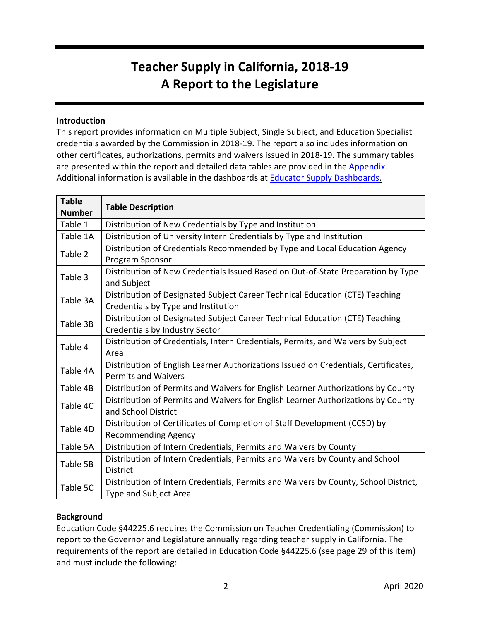# **Teacher Supply in California, 2018-19 A Report to the Legislature**

#### <span id="page-5-1"></span><span id="page-5-0"></span>**Introduction**

This report provides information on Multiple Subject, Single Subject, and Education Specialist credentials awarded by the Commission in 2018-19. The report also includes information on other certificates, authorizations, permits and waivers issued in 2018-19. The summary tables are presented within the report and detailed data tables are provided in the [Appendix.](http://www.ctc.ca.gov/docs/default-source/commission/agendas/2020-04/2020-04-4b-appendix.xlsx) Additional information is available in the dashboards at [Educator Supply Dashboards.](https://www.ctc.ca.gov/commission/reports/data/edu-supl-creds)

| <b>Table</b><br><b>Number</b> | <b>Table Description</b>                                                                                            |
|-------------------------------|---------------------------------------------------------------------------------------------------------------------|
| Table 1                       | Distribution of New Credentials by Type and Institution                                                             |
| Table 1A                      | Distribution of University Intern Credentials by Type and Institution                                               |
| Table 2                       | Distribution of Credentials Recommended by Type and Local Education Agency<br>Program Sponsor                       |
| Table 3                       | Distribution of New Credentials Issued Based on Out-of-State Preparation by Type<br>and Subject                     |
| Table 3A                      | Distribution of Designated Subject Career Technical Education (CTE) Teaching<br>Credentials by Type and Institution |
| Table 3B                      | Distribution of Designated Subject Career Technical Education (CTE) Teaching<br>Credentials by Industry Sector      |
| Table 4                       | Distribution of Credentials, Intern Credentials, Permits, and Waivers by Subject<br>Area                            |
| Table 4A                      | Distribution of English Learner Authorizations Issued on Credentials, Certificates,<br><b>Permits and Waivers</b>   |
| Table 4B                      | Distribution of Permits and Waivers for English Learner Authorizations by County                                    |
| Table 4C                      | Distribution of Permits and Waivers for English Learner Authorizations by County<br>and School District             |
| Table 4D                      | Distribution of Certificates of Completion of Staff Development (CCSD) by<br><b>Recommending Agency</b>             |
| Table 5A                      | Distribution of Intern Credentials, Permits and Waivers by County                                                   |
| Table 5B                      | Distribution of Intern Credentials, Permits and Waivers by County and School<br>District                            |
| Table 5C                      | Distribution of Intern Credentials, Permits and Waivers by County, School District,<br>Type and Subject Area        |

#### <span id="page-5-2"></span>**Background**

Education Code §44225.6 requires the Commission on Teacher Credentialing (Commission) to report to the Governor and Legislature annually regarding teacher supply in California. The requirements of the report are detailed in Education Code §44225.6 (see page 29 of this item) and must include the following: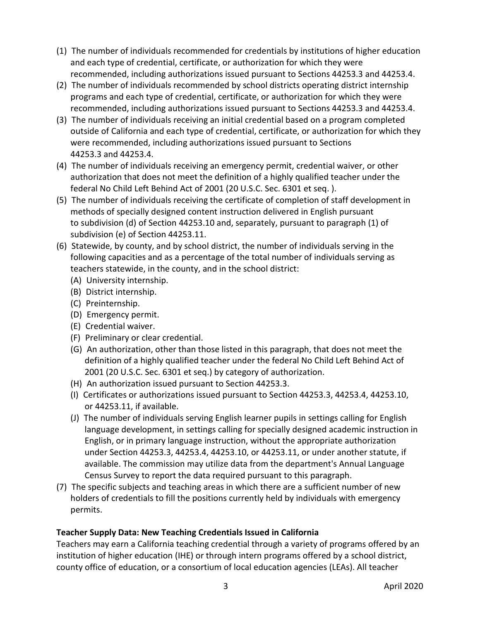- (1) The number of individuals recommended for credentials by institutions of higher education and each type of credential, certificate, or authorization for which they were recommended, including authorizations issued pursuant to Sections 44253.3 and 44253.4.
- (2) The number of individuals recommended by school districts operating district internship programs and each type of credential, certificate, or authorization for which they were recommended, including authorizations issued pursuant to Sections 44253.3 and 44253.4.
- (3) The number of individuals receiving an initial credential based on a program completed outside of California and each type of credential, certificate, or authorization for which they were recommended, including authorizations issued pursuant to Sections 44253.3 and 44253.4.
- (4) The number of individuals receiving an emergency permit, credential waiver, or other authorization that does not meet the definition of a highly qualified teacher under the federal No Child Left Behind Act of 2001 (20 U.S.C. Sec. 6301 et seq. ).
- (5) The number of individuals receiving the certificate of completion of staff development in methods of specially designed content instruction delivered in English pursuant to subdivision (d) of Section 44253.10 and, separately, pursuant to paragraph (1) of subdivision (e) of Section 44253.11.
- (6) Statewide, by county, and by school district, the number of individuals serving in the following capacities and as a percentage of the total number of individuals serving as teachers statewide, in the county, and in the school district:
	- (A) University internship.
	- (B) District internship.
	- (C) Preinternship.
	- (D) Emergency permit.
	- (E) Credential waiver.
	- (F) Preliminary or clear credential.
	- (G) An authorization, other than those listed in this paragraph, that does not meet the definition of a highly qualified teacher under the federal No Child Left Behind Act of 2001 (20 U.S.C. Sec. 6301 et seq.) by category of authorization.
	- (H) An authorization issued pursuant to Section 44253.3.
	- (I) Certificates or authorizations issued pursuant to Section 44253.3, 44253.4, 44253.10, or 44253.11, if available.
	- (J) The number of individuals serving English learner pupils in settings calling for English language development, in settings calling for specially designed academic instruction in English, or in primary language instruction, without the appropriate authorization under Section 44253.3, 44253.4, 44253.10, or 44253.11, or under another statute, if available. The commission may utilize data from the department's Annual Language Census Survey to report the data required pursuant to this paragraph.
- (7) The specific subjects and teaching areas in which there are a sufficient number of new holders of credentials to fill the positions currently held by individuals with emergency permits.

# <span id="page-6-0"></span>**Teacher Supply Data: New Teaching Credentials Issued in California**

Teachers may earn a California teaching credential through a variety of programs offered by an institution of higher education (IHE) or through intern programs offered by a school district, county office of education, or a consortium of local education agencies (LEAs). All teacher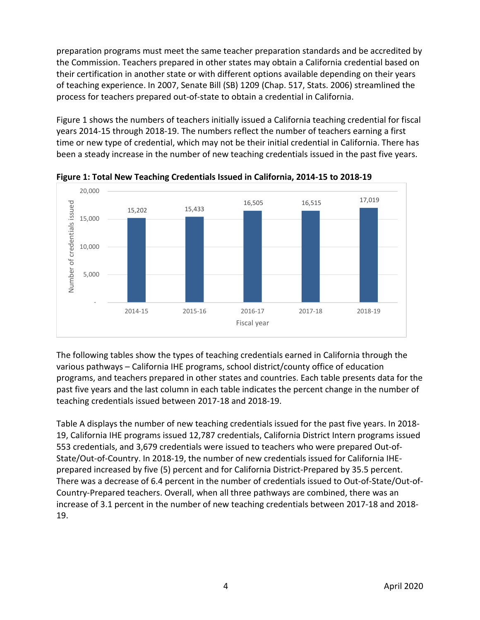preparation programs must meet the same teacher preparation standards and be accredited by the Commission. Teachers prepared in other states may obtain a California credential based on their certification in another state or with different options available depending on their years of teaching experience. In 2007, Senate Bill (SB) 1209 (Chap. 517, Stats. 2006) streamlined the process for teachers prepared out-of-state to obtain a credential in California.

Figure 1 shows the numbers of teachers initially issued a California teaching credential for fiscal years 2014-15 through 2018-19. The numbers reflect the number of teachers earning a first time or new type of credential, which may not be their initial credential in California. There has been a steady increase in the number of new teaching credentials issued in the past five years.



**Figure 1: Total New Teaching Credentials Issued in California, 2014-15 to 2018-19**

The following tables show the types of teaching credentials earned in California through the various pathways – California IHE programs, school district/county office of education programs, and teachers prepared in other states and countries. Each table presents data for the past five years and the last column in each table indicates the percent change in the number of teaching credentials issued between 2017-18 and 2018-19.

Table A displays the number of new teaching credentials issued for the past five years. In 2018- 19, California IHE programs issued 12,787 credentials, California District Intern programs issued 553 credentials, and 3,679 credentials were issued to teachers who were prepared Out-of-State/Out-of-Country. In 2018-19, the number of new credentials issued for California IHEprepared increased by five (5) percent and for California District-Prepared by 35.5 percent. There was a decrease of 6.4 percent in the number of credentials issued to Out-of-State/Out-of-Country-Prepared teachers. Overall, when all three pathways are combined, there was an increase of 3.1 percent in the number of new teaching credentials between 2017-18 and 2018- 19.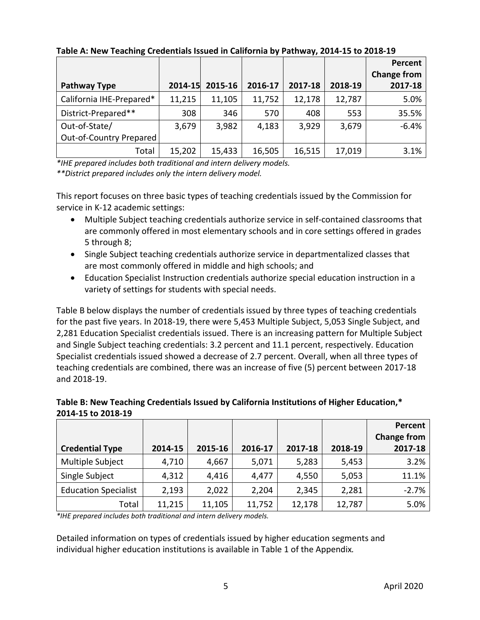|                          |         |         |         |         |         | Percent            |
|--------------------------|---------|---------|---------|---------|---------|--------------------|
|                          |         |         |         |         |         | <b>Change from</b> |
| Pathway Type             | 2014-15 | 2015-16 | 2016-17 | 2017-18 | 2018-19 | 2017-18            |
| California IHE-Prepared* | 11,215  | 11,105  | 11,752  | 12,178  | 12,787  | 5.0%               |
| District-Prepared**      | 308     | 346     | 570     | 408     | 553     | 35.5%              |
| Out-of-State/            | 3,679   | 3,982   | 4,183   | 3,929   | 3,679   | $-6.4%$            |
| Out-of-Country Prepared  |         |         |         |         |         |                    |
| Total                    | 15,202  | 15,433  | 16,505  | 16,515  | 17,019  | 3.1%               |

**Table A: New Teaching Credentials Issued in California by Pathway, 2014-15 to 2018-19**

*\*IHE prepared includes both traditional and intern delivery models. \*\*District prepared includes only the intern delivery model.*

This report focuses on three basic types of teaching credentials issued by the Commission for service in K-12 academic settings:

- Multiple Subject teaching credentials authorize service in self-contained classrooms that are commonly offered in most elementary schools and in core settings offered in grades 5 through 8;
- Single Subject teaching credentials authorize service in departmentalized classes that are most commonly offered in middle and high schools; and
- Education Specialist Instruction credentials authorize special education instruction in a variety of settings for students with special needs.

Table B below displays the number of credentials issued by three types of teaching credentials for the past five years. In 2018-19, there were 5,453 Multiple Subject, 5,053 Single Subject, and 2,281 Education Specialist credentials issued. There is an increasing pattern for Multiple Subject and Single Subject teaching credentials: 3.2 percent and 11.1 percent, respectively. Education Specialist credentials issued showed a decrease of 2.7 percent. Overall, when all three types of teaching credentials are combined, there was an increase of five (5) percent between 2017-18 and 2018-19.

| Table B: New Teaching Credentials Issued by California Institutions of Higher Education,* |
|-------------------------------------------------------------------------------------------|
| 2014-15 to 2018-19                                                                        |

|                             |         |         |         |         |         | Percent<br><b>Change from</b> |
|-----------------------------|---------|---------|---------|---------|---------|-------------------------------|
| <b>Credential Type</b>      | 2014-15 | 2015-16 | 2016-17 | 2017-18 | 2018-19 | 2017-18                       |
| Multiple Subject            | 4,710   | 4,667   | 5,071   | 5,283   | 5,453   | 3.2%                          |
| Single Subject              | 4,312   | 4,416   | 4,477   | 4,550   | 5,053   | 11.1%                         |
| <b>Education Specialist</b> | 2,193   | 2,022   | 2,204   | 2,345   | 2,281   | $-2.7%$                       |
| Total                       | 11,215  | 11,105  | 11,752  | 12,178  | 12,787  | 5.0%                          |

*\*IHE prepared includes both traditional and intern delivery models.*

Detailed information on types of credentials issued by higher education segments and individual higher education institutions is available in Table 1 of the Appendix*.*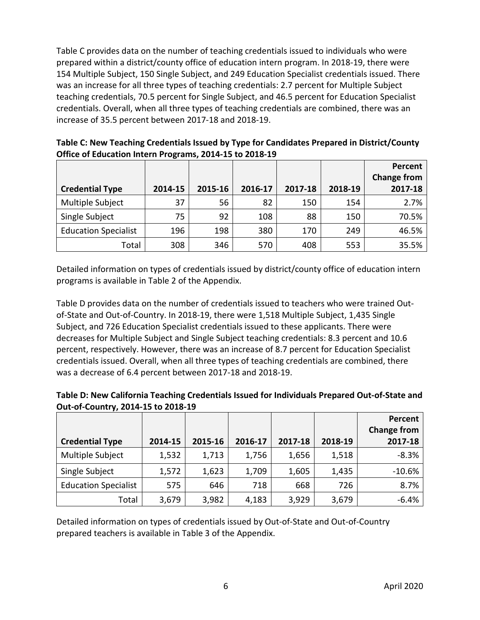Table C provides data on the number of teaching credentials issued to individuals who were prepared within a district/county office of education intern program. In 2018-19, there were 154 Multiple Subject, 150 Single Subject, and 249 Education Specialist credentials issued. There was an increase for all three types of teaching credentials: 2.7 percent for Multiple Subject teaching credentials, 70.5 percent for Single Subject, and 46.5 percent for Education Specialist credentials. Overall, when all three types of teaching credentials are combined, there was an increase of 35.5 percent between 2017-18 and 2018-19.

| <b>Credential Type</b>      | 2014-15 | 2015-16 | 2016-17 | 2017-18 | 2018-19 | Percent<br><b>Change from</b><br>2017-18 |
|-----------------------------|---------|---------|---------|---------|---------|------------------------------------------|
| Multiple Subject            | 37      | 56      | 82      | 150     | 154     | 2.7%                                     |
| Single Subject              | 75      | 92      | 108     | 88      | 150     | 70.5%                                    |
| <b>Education Specialist</b> | 196     | 198     | 380     | 170     | 249     | 46.5%                                    |
| Total                       | 308     | 346     | 570     | 408     | 553     | 35.5%                                    |

**Table C: New Teaching Credentials Issued by Type for Candidates Prepared in District/County Office of Education Intern Programs, 2014-15 to 2018-19**

Detailed information on types of credentials issued by district/county office of education intern programs is available in Table 2 of the Appendix.

Table D provides data on the number of credentials issued to teachers who were trained Outof-State and Out-of-Country. In 2018-19, there were 1,518 Multiple Subject, 1,435 Single Subject, and 726 Education Specialist credentials issued to these applicants. There were decreases for Multiple Subject and Single Subject teaching credentials: 8.3 percent and 10.6 percent, respectively. However, there was an increase of 8.7 percent for Education Specialist credentials issued. Overall, when all three types of teaching credentials are combined, there was a decrease of 6.4 percent between 2017-18 and 2018-19.

| Table D: New California Teaching Credentials Issued for Individuals Prepared Out-of-State and |
|-----------------------------------------------------------------------------------------------|
| Out-of-Country, 2014-15 to 2018-19                                                            |

| <b>Credential Type</b>      | 2014-15 | 2015-16 | 2016-17 | 2017-18 | 2018-19 | Percent<br><b>Change from</b><br>2017-18 |
|-----------------------------|---------|---------|---------|---------|---------|------------------------------------------|
| Multiple Subject            | 1,532   | 1,713   | 1,756   | 1,656   | 1,518   | $-8.3%$                                  |
| Single Subject              | 1,572   | 1,623   | 1,709   | 1,605   | 1,435   | $-10.6%$                                 |
| <b>Education Specialist</b> | 575     | 646     | 718     | 668     | 726     | 8.7%                                     |
| Total                       | 3,679   | 3,982   | 4,183   | 3,929   | 3,679   | $-6.4%$                                  |

Detailed information on types of credentials issued by Out-of-State and Out-of-Country prepared teachers is available in Table 3 of the Appendix.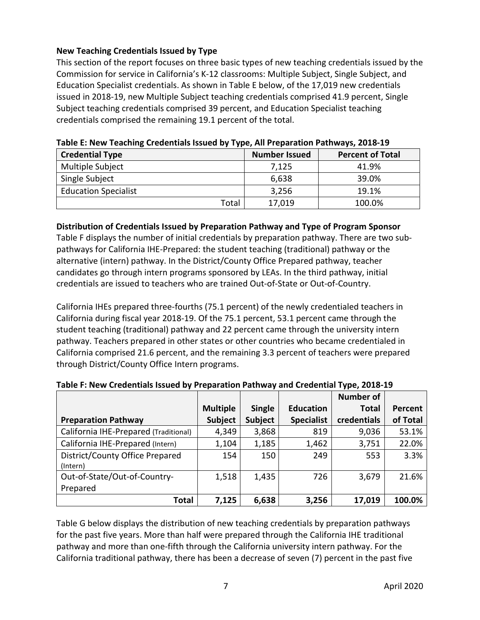# <span id="page-10-0"></span>**New Teaching Credentials Issued by Type**

This section of the report focuses on three basic types of new teaching credentials issued by the Commission for service in California's K-12 classrooms: Multiple Subject, Single Subject, and Education Specialist credentials. As shown in Table E below, of the 17,019 new credentials issued in 2018-19, new Multiple Subject teaching credentials comprised 41.9 percent, Single Subject teaching credentials comprised 39 percent, and Education Specialist teaching credentials comprised the remaining 19.1 percent of the total.

| <b>Credential Type</b>      | <b>Number Issued</b> | <b>Percent of Total</b> |
|-----------------------------|----------------------|-------------------------|
| Multiple Subject            | 7,125                | 41.9%                   |
| Single Subject              | 6,638                | 39.0%                   |
| <b>Education Specialist</b> | 3,256                | 19.1%                   |
| Total                       | 17,019               | 100.0%                  |

#### **Table E: New Teaching Credentials Issued by Type, All Preparation Pathways, 2018-19**

#### <span id="page-10-1"></span>**Distribution of Credentials Issued by Preparation Pathway and Type of Program Sponsor**

Table F displays the number of initial credentials by preparation pathway. There are two subpathways for California IHE-Prepared: the student teaching (traditional) pathway or the alternative (intern) pathway. In the District/County Office Prepared pathway, teacher candidates go through intern programs sponsored by LEAs. In the third pathway, initial credentials are issued to teachers who are trained Out-of-State or Out-of-Country.

California IHEs prepared three-fourths (75.1 percent) of the newly credentialed teachers in California during fiscal year 2018-19. Of the 75.1 percent, 53.1 percent came through the student teaching (traditional) pathway and 22 percent came through the university intern pathway. Teachers prepared in other states or other countries who became credentialed in California comprised 21.6 percent, and the remaining 3.3 percent of teachers were prepared through District/County Office Intern programs.

|                                       |                 |         |                   | <b>Number of</b> |                |
|---------------------------------------|-----------------|---------|-------------------|------------------|----------------|
|                                       | <b>Multiple</b> | Single  | <b>Education</b>  | <b>Total</b>     | <b>Percent</b> |
| <b>Preparation Pathway</b>            | Subject         | Subject | <b>Specialist</b> | credentials      | of Total       |
| California IHE-Prepared (Traditional) | 4,349           | 3,868   | 819               | 9,036            | 53.1%          |
| California IHE-Prepared (Intern)      | 1,104           | 1,185   | 1,462             | 3,751            | 22.0%          |
| District/County Office Prepared       | 154             | 150     | 249               | 553              | 3.3%           |
| (Intern)                              |                 |         |                   |                  |                |
| Out-of-State/Out-of-Country-          | 1,518           | 1,435   | 726               | 3,679            | 21.6%          |
| Prepared                              |                 |         |                   |                  |                |
| <b>Total</b>                          | 7,125           | 6,638   | 3,256             | 17,019           | 100.0%         |

# **Table F: New Credentials Issued by Preparation Pathway and Credential Type, 2018-19**

Table G below displays the distribution of new teaching credentials by preparation pathways for the past five years. More than half were prepared through the California IHE traditional pathway and more than one-fifth through the California university intern pathway. For the California traditional pathway, there has been a decrease of seven (7) percent in the past five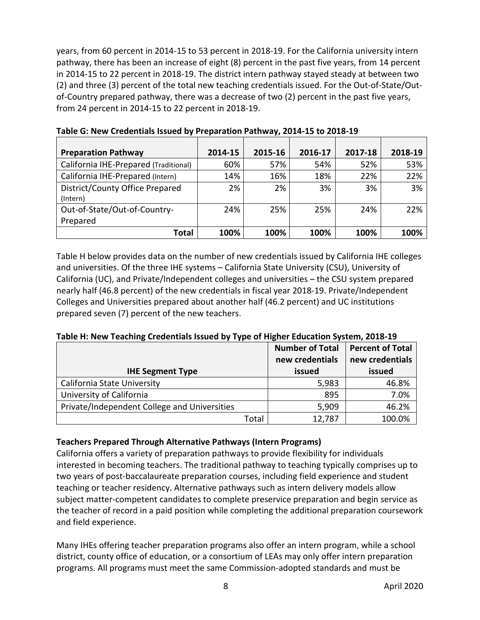years, from 60 percent in 2014-15 to 53 percent in 2018-19. For the California university intern pathway, there has been an increase of eight (8) percent in the past five years, from 14 percent in 2014-15 to 22 percent in 2018-19. The district intern pathway stayed steady at between two (2) and three (3) percent of the total new teaching credentials issued. For the Out-of-State/Outof-Country prepared pathway, there was a decrease of two (2) percent in the past five years, from 24 percent in 2014-15 to 22 percent in 2018-19.

| <b>Preparation Pathway</b>            | 2014-15 | 2015-16 | 2016-17 | 2017-18 | 2018-19 |
|---------------------------------------|---------|---------|---------|---------|---------|
| California IHE-Prepared (Traditional) | 60%     | 57%     | 54%     | 52%     | 53%     |
| California IHE-Prepared (Intern)      | 14%     | 16%     | 18%     | 22%     | 22%     |
| District/County Office Prepared       | 2%      | 2%      | 3%      | 3%      | 3%      |
| (Intern)                              |         |         |         |         |         |
| Out-of-State/Out-of-Country-          | 24%     | 25%     | 25%     | 24%     | 22%     |
| Prepared                              |         |         |         |         |         |
| Total                                 | 100%    | 100%    | 100%    | 100%    | 100%    |

**Table G: New Credentials Issued by Preparation Pathway, 2014-15 to 2018-19**

Table H below provides data on the number of new credentials issued by California IHE colleges and universities. Of the three IHE systems – California State University (CSU), University of California (UC), and Private/Independent colleges and universities – the CSU system prepared nearly half (46.8 percent) of the new credentials in fiscal year 2018-19. Private/Independent Colleges and Universities prepared about another half (46.2 percent) and UC institutions prepared seven (7) percent of the new teachers.

**Table H: New Teaching Credentials Issued by Type of Higher Education System, 2018-19**

|                                              |       | <b>Number of Total</b> | <b>Percent of Total</b> |
|----------------------------------------------|-------|------------------------|-------------------------|
|                                              |       | new credentials        | new credentials         |
| <b>IHE Segment Type</b>                      |       | issued                 | issued                  |
| California State University                  |       | 5,983                  | 46.8%                   |
| University of California                     |       | 895                    | 7.0%                    |
| Private/Independent College and Universities |       | 5,909                  | 46.2%                   |
|                                              | Total | 12,787                 | 100.0%                  |

# <span id="page-11-0"></span>**Teachers Prepared Through Alternative Pathways (Intern Programs)**

California offers a variety of preparation pathways to provide flexibility for individuals interested in becoming teachers. The traditional pathway to teaching typically comprises up to two years of post-baccalaureate preparation courses, including field experience and student teaching or teacher residency. Alternative pathways such as intern delivery models allow subject matter-competent candidates to complete preservice preparation and begin service as the teacher of record in a paid position while completing the additional preparation coursework and field experience.

Many IHEs offering teacher preparation programs also offer an intern program, while a school district, county office of education, or a consortium of LEAs may only offer intern preparation programs. All programs must meet the same Commission-adopted standards and must be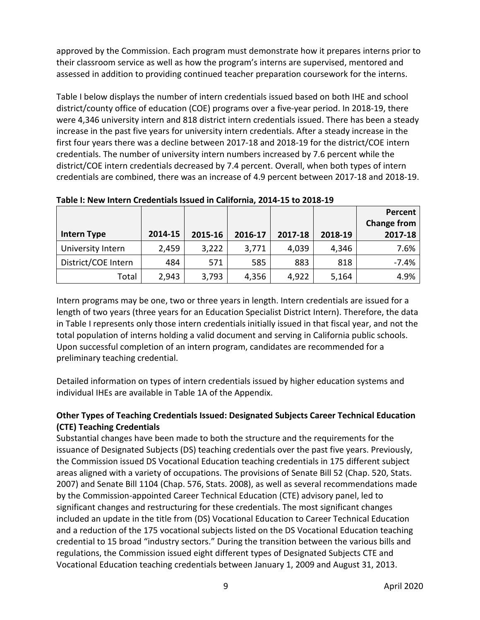approved by the Commission. Each program must demonstrate how it prepares interns prior to their classroom service as well as how the program's interns are supervised, mentored and assessed in addition to providing continued teacher preparation coursework for the interns.

Table I below displays the number of intern credentials issued based on both IHE and school district/county office of education (COE) programs over a five-year period. In 2018-19, there were 4,346 university intern and 818 district intern credentials issued. There has been a steady increase in the past five years for university intern credentials. After a steady increase in the first four years there was a decline between 2017-18 and 2018-19 for the district/COE intern credentials. The number of university intern numbers increased by 7.6 percent while the district/COE intern credentials decreased by 7.4 percent. Overall, when both types of intern credentials are combined, there was an increase of 4.9 percent between 2017-18 and 2018-19.

| <b>Intern Type</b>  | 2014-15 | 2015-16 | 2016-17 | 2017-18 | 2018-19 | Percent<br><b>Change from</b><br>2017-18 |
|---------------------|---------|---------|---------|---------|---------|------------------------------------------|
| University Intern   | 2,459   | 3,222   | 3,771   | 4,039   | 4,346   | 7.6%                                     |
| District/COE Intern | 484     | 571     | 585     | 883     | 818     | $-7.4%$                                  |
| Total               | 2,943   | 3,793   | 4,356   | 4,922   | 5,164   | 4.9%                                     |

**Table I: New Intern Credentials Issued in California, 2014-15 to 2018-19**

Intern programs may be one, two or three years in length. Intern credentials are issued for a length of two years (three years for an Education Specialist District Intern). Therefore, the data in Table I represents only those intern credentials initially issued in that fiscal year, and not the total population of interns holding a valid document and serving in California public schools. Upon successful completion of an intern program, candidates are recommended for a preliminary teaching credential.

Detailed information on types of intern credentials issued by higher education systems and individual IHEs are available in Table 1A of the Appendix.

# <span id="page-12-0"></span>**Other Types of Teaching Credentials Issued: Designated Subjects Career Technical Education (CTE) Teaching Credentials**

Substantial changes have been made to both the structure and the requirements for the issuance of Designated Subjects (DS) teaching credentials over the past five years. Previously, the Commission issued DS Vocational Education teaching credentials in 175 different subject areas aligned with a variety of occupations. The provisions of Senate Bill 52 (Chap. 520, Stats. 2007) and Senate Bill 1104 (Chap. 576, Stats. 2008), as well as several recommendations made by the Commission-appointed Career Technical Education (CTE) advisory panel, led to significant changes and restructuring for these credentials. The most significant changes included an update in the title from (DS) Vocational Education to Career Technical Education and a reduction of the 175 vocational subjects listed on the DS Vocational Education teaching credential to 15 broad "industry sectors." During the transition between the various bills and regulations, the Commission issued eight different types of Designated Subjects CTE and Vocational Education teaching credentials between January 1, 2009 and August 31, 2013.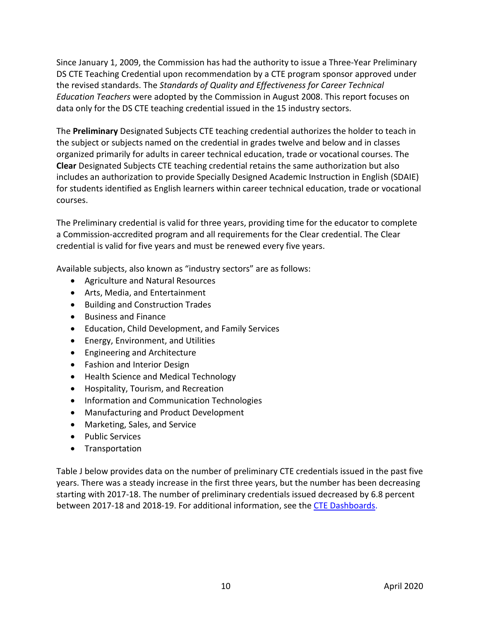Since January 1, 2009, the Commission has had the authority to issue a Three-Year Preliminary DS CTE Teaching Credential upon recommendation by a CTE program sponsor approved under the revised standards. The *Standards of Quality and Effectiveness for Career Technical Education Teachers* were adopted by the Commission in August 2008. This report focuses on data only for the DS CTE teaching credential issued in the 15 industry sectors.

The **Preliminary** Designated Subjects CTE teaching credential authorizes the holder to teach in the subject or subjects named on the credential in grades twelve and below and in classes organized primarily for adults in career technical education, trade or vocational courses. The **Clear** Designated Subjects CTE teaching credential retains the same authorization but also includes an authorization to provide Specially Designed Academic Instruction in English (SDAIE) for students identified as English learners within career technical education, trade or vocational courses.

The Preliminary credential is valid for three years, providing time for the educator to complete a Commission-accredited program and all requirements for the Clear credential. The Clear credential is valid for five years and must be renewed every five years.

Available subjects, also known as "industry sectors" are as follows:

- Agriculture and Natural Resources
- Arts, Media, and Entertainment
- Building and Construction Trades
- Business and Finance
- Education, Child Development, and Family Services
- Energy, Environment, and Utilities
- Engineering and Architecture
- Fashion and Interior Design
- Health Science and Medical Technology
- Hospitality, Tourism, and Recreation
- Information and Communication Technologies
- Manufacturing and Product Development
- Marketing, Sales, and Service
- Public Services
- Transportation

Table J below provides data on the number of preliminary CTE credentials issued in the past five years. There was a steady increase in the first three years, but the number has been decreasing starting with 2017-18. The number of preliminary credentials issued decreased by 6.8 percent between 2017-18 and 2018-19. For additional information, see the [CTE Dashboards.](https://www.ctc.ca.gov/commission/reports/data/edu-supl-des-subj)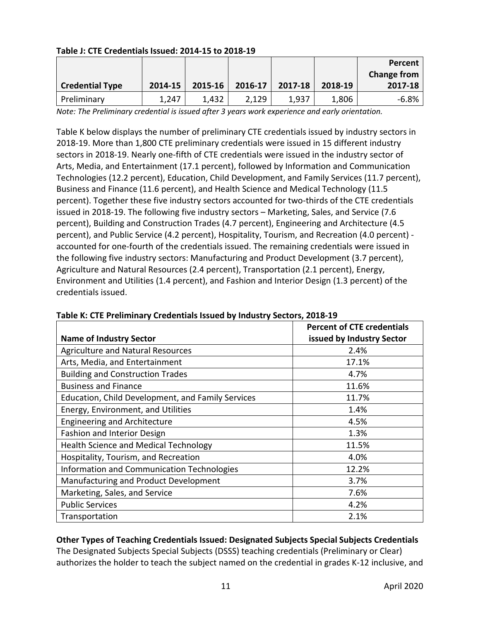|                        |         |         |         |         |         | Percent            |
|------------------------|---------|---------|---------|---------|---------|--------------------|
|                        |         |         |         |         |         | <b>Change from</b> |
| <b>Credential Type</b> | 2014-15 | 2015-16 | 2016-17 | 2017-18 | 2018-19 | 2017-18            |
| Preliminary            | 1,247   | 1,432   | 2,129   | 1,937   | 1,806   | $-6.8%$            |

# **Table J: CTE Credentials Issued: 2014-15 to 2018-19**

*Note: The Preliminary credential is issued after 3 years work experience and early orientation.*

Table K below displays the number of preliminary CTE credentials issued by industry sectors in 2018-19. More than 1,800 CTE preliminary credentials were issued in 15 different industry sectors in 2018-19. Nearly one-fifth of CTE credentials were issued in the industry sector of Arts, Media, and Entertainment (17.1 percent), followed by Information and Communication Technologies (12.2 percent), Education, Child Development, and Family Services (11.7 percent), Business and Finance (11.6 percent), and Health Science and Medical Technology (11.5 percent). Together these five industry sectors accounted for two-thirds of the CTE credentials issued in 2018-19. The following five industry sectors – Marketing, Sales, and Service (7.6 percent), Building and Construction Trades (4.7 percent), Engineering and Architecture (4.5 percent), and Public Service (4.2 percent), Hospitality, Tourism, and Recreation (4.0 percent) accounted for one-fourth of the credentials issued. The remaining credentials were issued in the following five industry sectors: Manufacturing and Product Development (3.7 percent), Agriculture and Natural Resources (2.4 percent), Transportation (2.1 percent), Energy, Environment and Utilities (1.4 percent), and Fashion and Interior Design (1.3 percent) of the credentials issued.

|                                                   | <b>Percent of CTE credentials</b> |
|---------------------------------------------------|-----------------------------------|
| <b>Name of Industry Sector</b>                    | issued by Industry Sector         |
| <b>Agriculture and Natural Resources</b>          | 2.4%                              |
| Arts, Media, and Entertainment                    | 17.1%                             |
| <b>Building and Construction Trades</b>           | 4.7%                              |
| <b>Business and Finance</b>                       | 11.6%                             |
| Education, Child Development, and Family Services | 11.7%                             |
| Energy, Environment, and Utilities                | 1.4%                              |
| <b>Engineering and Architecture</b>               | 4.5%                              |
| Fashion and Interior Design                       | 1.3%                              |
| <b>Health Science and Medical Technology</b>      | 11.5%                             |
| Hospitality, Tourism, and Recreation              | 4.0%                              |
| Information and Communication Technologies        | 12.2%                             |
| Manufacturing and Product Development             | 3.7%                              |
| Marketing, Sales, and Service                     | 7.6%                              |
| <b>Public Services</b>                            | 4.2%                              |
| Transportation                                    | 2.1%                              |

#### **Table K: CTE Preliminary Credentials Issued by Industry Sectors, 2018-19**

# <span id="page-14-0"></span>**Other Types of Teaching Credentials Issued: Designated Subjects Special Subjects Credentials**

The Designated Subjects Special Subjects (DSSS) teaching credentials (Preliminary or Clear) authorizes the holder to teach the subject named on the credential in grades K-12 inclusive, and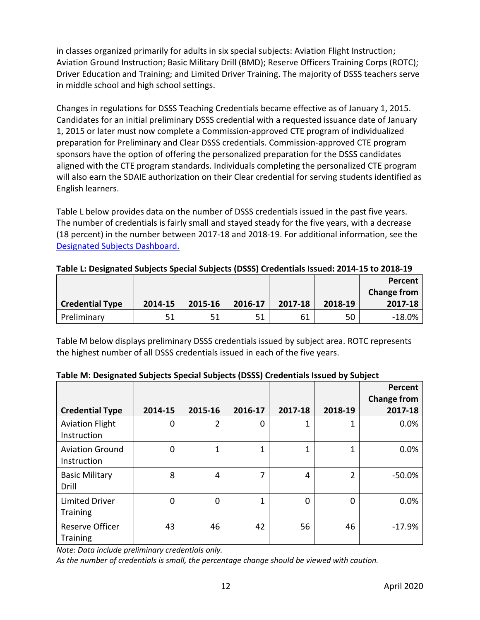in classes organized primarily for adults in six special subjects: Aviation Flight Instruction; Aviation Ground Instruction; Basic Military Drill (BMD); Reserve Officers Training Corps (ROTC); Driver Education and Training; and Limited Driver Training. The majority of DSSS teachers serve in middle school and high school settings.

Changes in regulations for DSSS Teaching Credentials became effective as of January 1, 2015. Candidates for an initial preliminary DSSS credential with a requested issuance date of January 1, 2015 or later must now complete a Commission-approved CTE program of individualized preparation for Preliminary and Clear DSSS credentials. Commission-approved CTE program sponsors have the option of offering the personalized preparation for the DSSS candidates aligned with the CTE program standards. Individuals completing the personalized CTE program will also earn the SDAIE authorization on their Clear credential for serving students identified as English learners.

Table L below provides data on the number of DSSS credentials issued in the past five years. The number of credentials is fairly small and stayed steady for the five years, with a decrease (18 percent) in the number between 2017-18 and 2018-19. For additional information, see the [Designated Subjects Dashboard.](https://www.ctc.ca.gov/commission/reports/data/edu-supl-des-subj)

|  | Table L: Designated Subjects Special Subjects (DSSS) Credentials Issued: 2014-15 to 2018-19 |
|--|---------------------------------------------------------------------------------------------|
|--|---------------------------------------------------------------------------------------------|

|                        |         |         |         |         |         | Percent     |
|------------------------|---------|---------|---------|---------|---------|-------------|
|                        |         |         |         |         |         | Change from |
| <b>Credential Type</b> | 2014-15 | 2015-16 | 2016-17 | 2017-18 | 2018-19 | 2017-18     |
| Preliminary            |         | 51      | 51      | 61      | 50      | -18.0%      |

Table M below displays preliminary DSSS credentials issued by subject area. ROTC represents the highest number of all DSSS credentials issued in each of the five years.

|                                          |             |                |         |         |                | Percent<br><b>Change from</b> |
|------------------------------------------|-------------|----------------|---------|---------|----------------|-------------------------------|
| <b>Credential Type</b>                   | 2014-15     | 2015-16        | 2016-17 | 2017-18 | 2018-19        | 2017-18                       |
| <b>Aviation Flight</b><br>Instruction    | 0           | $\overline{2}$ | 0       |         | 1              | 0.0%                          |
| <b>Aviation Ground</b><br>Instruction    | 0           | $\mathbf 1$    | 1       | 1       | 1              | 0.0%                          |
| <b>Basic Military</b><br>Drill           | 8           | 4              | 7       | 4       | $\overline{2}$ | $-50.0%$                      |
| <b>Limited Driver</b><br><b>Training</b> | $\mathbf 0$ | $\overline{0}$ | 1       | 0       | 0              | 0.0%                          |
| Reserve Officer<br><b>Training</b>       | 43          | 46             | 42      | 56      | 46             | $-17.9%$                      |

#### **Table M: Designated Subjects Special Subjects (DSSS) Credentials Issued by Subject**

*Note: Data include preliminary credentials only.*

*As the number of credentials is small, the percentage change should be viewed with caution.*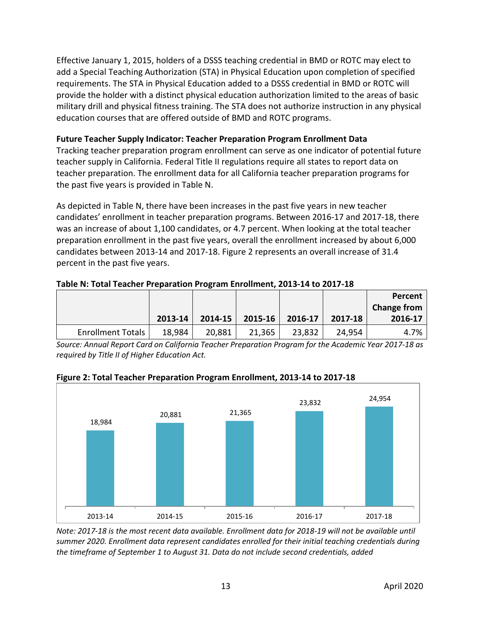Effective January 1, 2015, holders of a DSSS teaching credential in BMD or ROTC may elect to add a Special Teaching Authorization (STA) in Physical Education upon completion of specified requirements. The STA in Physical Education added to a DSSS credential in BMD or ROTC will provide the holder with a distinct physical education authorization limited to the areas of basic military drill and physical fitness training. The STA does not authorize instruction in any physical education courses that are offered outside of BMD and ROTC programs.

#### <span id="page-16-0"></span>**Future Teacher Supply Indicator: Teacher Preparation Program Enrollment Data**

Tracking teacher preparation program enrollment can serve as one indicator of potential future teacher supply in California. Federal Title II regulations require all states to report data on teacher preparation. The enrollment data for all California teacher preparation programs for the past five years is provided in Table N.

As depicted in Table N, there have been increases in the past five years in new teacher candidates' enrollment in teacher preparation programs. Between 2016-17 and 2017-18, there was an increase of about 1,100 candidates, or 4.7 percent. When looking at the total teacher preparation enrollment in the past five years, overall the enrollment increased by about 6,000 candidates between 2013-14 and 2017-18. Figure 2 represents an overall increase of 31.4 percent in the past five years.

**Table N: Total Teacher Preparation Program Enrollment, 2013-14 to 2017-18**

|                          |         |         |         |         |         | Percent            |
|--------------------------|---------|---------|---------|---------|---------|--------------------|
|                          |         |         |         |         |         | <b>Change from</b> |
|                          | 2013-14 | 2014-15 | 2015-16 | 2016-17 | 2017-18 | 2016-17            |
| <b>Enrollment Totals</b> | 18,984  | 20,881  | 21,365  | 23,832  | 24,954  | 4.7%               |

*Source: Annual Report Card on California Teacher Preparation Program for the Academic Year 2017-18 as required by Title II of Higher Education Act.*



**Figure 2: Total Teacher Preparation Program Enrollment, 2013-14 to 2017-18**

*Note: 2017-18 is the most recent data available. Enrollment data for 2018-19 will not be available until summer 2020. Enrollment data represent candidates enrolled for their initial teaching credentials during the timeframe of September 1 to August 31. Data do not include second credentials, added*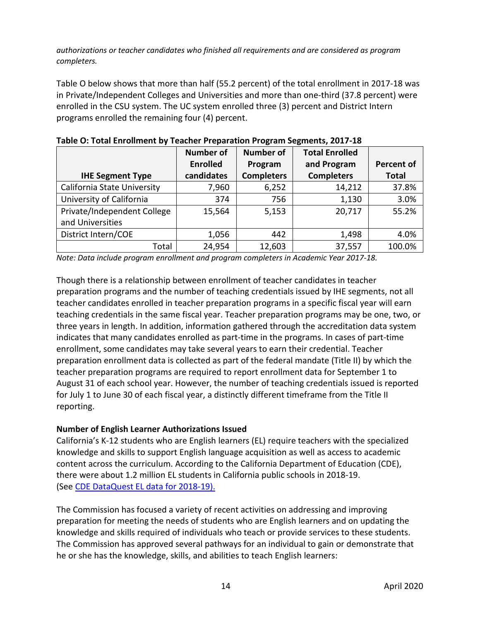*authorizations or teacher candidates who finished all requirements and are considered as program completers.*

Table O below shows that more than half (55.2 percent) of the total enrollment in 2017-18 was in Private/Independent Colleges and Universities and more than one-third (37.8 percent) were enrolled in the CSU system. The UC system enrolled three (3) percent and District Intern programs enrolled the remaining four (4) percent.

|                                    | <b>Number of</b> | <b>Number of</b>  | <b>Total Enrolled</b> |                   |
|------------------------------------|------------------|-------------------|-----------------------|-------------------|
|                                    | <b>Enrolled</b>  | Program           | and Program           | <b>Percent of</b> |
| <b>IHE Segment Type</b>            | candidates       | <b>Completers</b> | <b>Completers</b>     | <b>Total</b>      |
| <b>California State University</b> | 7,960            | 6,252             | 14,212                | 37.8%             |
| University of California           | 374              | 756               | 1,130                 | 3.0%              |
| Private/Independent College        | 15,564           | 5,153             | 20,717                | 55.2%             |
| and Universities                   |                  |                   |                       |                   |
| District Intern/COE                | 1,056            | 442               | 1,498                 | 4.0%              |
| Total                              | 24,954           | 12,603            | 37,557                | 100.0%            |

| Table O: Total Enrollment by Teacher Preparation Program Segments, 2017-18 |  |
|----------------------------------------------------------------------------|--|
|                                                                            |  |

*Note: Data include program enrollment and program completers in Academic Year 2017-18.*

Though there is a relationship between enrollment of teacher candidates in teacher preparation programs and the number of teaching credentials issued by IHE segments, not all teacher candidates enrolled in teacher preparation programs in a specific fiscal year will earn teaching credentials in the same fiscal year. Teacher preparation programs may be one, two, or three years in length. In addition, information gathered through the accreditation data system indicates that many candidates enrolled as part-time in the programs. In cases of part-time enrollment, some candidates may take several years to earn their credential. Teacher preparation enrollment data is collected as part of the federal mandate (Title II) by which the teacher preparation programs are required to report enrollment data for September 1 to August 31 of each school year. However, the number of teaching credentials issued is reported for July 1 to June 30 of each fiscal year, a distinctly different timeframe from the Title II reporting.

#### <span id="page-17-0"></span>**Number of English Learner Authorizations Issued**

California's K-12 students who are English learners (EL) require teachers with the specialized knowledge and skills to support English language acquisition as well as access to academic content across the curriculum. According to the California Department of Education (CDE), there were about 1.2 million EL students in California public schools in 2018-19. (See [CDE DataQuest EL data for 2018-19\)](https://dq.cde.ca.gov/dataquest/longtermel/ELAS.aspx?cds=00&agglevel=State&year=2018-19).

The Commission has focused a variety of recent activities on addressing and improving preparation for meeting the needs of students who are English learners and on updating the knowledge and skills required of individuals who teach or provide services to these students. The Commission has approved several pathways for an individual to gain or demonstrate that he or she has the knowledge, skills, and abilities to teach English learners: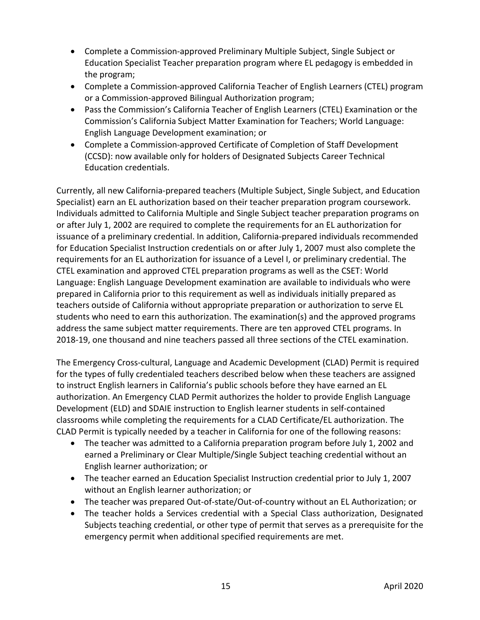- Complete a Commission-approved Preliminary Multiple Subject, Single Subject or Education Specialist Teacher preparation program where EL pedagogy is embedded in the program;
- Complete a Commission-approved California Teacher of English Learners (CTEL) program or a Commission-approved Bilingual Authorization program;
- Pass the Commission's California Teacher of English Learners (CTEL) Examination or the Commission's California Subject Matter Examination for Teachers; World Language: English Language Development examination; or
- Complete a Commission-approved Certificate of Completion of Staff Development (CCSD): now available only for holders of Designated Subjects Career Technical Education credentials.

Currently, all new California-prepared teachers (Multiple Subject, Single Subject, and Education Specialist) earn an EL authorization based on their teacher preparation program coursework. Individuals admitted to California Multiple and Single Subject teacher preparation programs on or after July 1, 2002 are required to complete the requirements for an EL authorization for issuance of a preliminary credential. In addition, California-prepared individuals recommended for Education Specialist Instruction credentials on or after July 1, 2007 must also complete the requirements for an EL authorization for issuance of a Level I, or preliminary credential. The CTEL examination and approved CTEL preparation programs as well as the CSET: World Language: English Language Development examination are available to individuals who were prepared in California prior to this requirement as well as individuals initially prepared as teachers outside of California without appropriate preparation or authorization to serve EL students who need to earn this authorization. The examination(s) and the approved programs address the same subject matter requirements. There are ten approved CTEL programs. In 2018-19, one thousand and nine teachers passed all three sections of the CTEL examination.

The Emergency Cross-cultural, Language and Academic Development (CLAD) Permit is required for the types of fully credentialed teachers described below when these teachers are assigned to instruct English learners in California's public schools before they have earned an EL authorization. An Emergency CLAD Permit authorizes the holder to provide English Language Development (ELD) and SDAIE instruction to English learner students in self-contained classrooms while completing the requirements for a CLAD Certificate/EL authorization. The CLAD Permit is typically needed by a teacher in California for one of the following reasons:

- The teacher was admitted to a California preparation program before July 1, 2002 and earned a Preliminary or Clear Multiple/Single Subject teaching credential without an English learner authorization; or
- The teacher earned an Education Specialist Instruction credential prior to July 1, 2007 without an English learner authorization; or
- The teacher was prepared Out-of-state/Out-of-country without an EL Authorization; or
- The teacher holds a Services credential with a Special Class authorization, Designated Subjects teaching credential, or other type of permit that serves as a prerequisite for the emergency permit when additional specified requirements are met.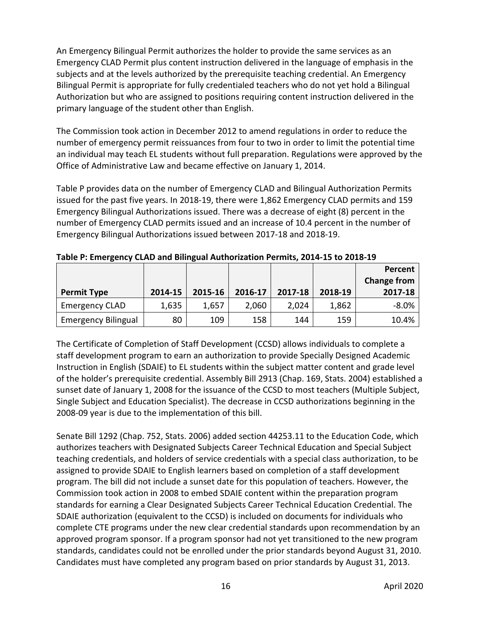An Emergency Bilingual Permit authorizes the holder to provide the same services as an Emergency CLAD Permit plus content instruction delivered in the language of emphasis in the subjects and at the levels authorized by the prerequisite teaching credential. An Emergency Bilingual Permit is appropriate for fully credentialed teachers who do not yet hold a Bilingual Authorization but who are assigned to positions requiring content instruction delivered in the primary language of the student other than English.

The Commission took action in December 2012 to amend regulations in order to reduce the number of emergency permit reissuances from four to two in order to limit the potential time an individual may teach EL students without full preparation. Regulations were approved by the Office of Administrative Law and became effective on January 1, 2014.

Table P provides data on the number of Emergency CLAD and Bilingual Authorization Permits issued for the past five years. In 2018-19, there were 1,862 Emergency CLAD permits and 159 Emergency Bilingual Authorizations issued. There was a decrease of eight (8) percent in the number of Emergency CLAD permits issued and an increase of 10.4 percent in the number of Emergency Bilingual Authorizations issued between 2017-18 and 2018-19.

|                            |         |         |         |         |         | Percent<br><b>Change from</b> |
|----------------------------|---------|---------|---------|---------|---------|-------------------------------|
| <b>Permit Type</b>         | 2014-15 | 2015-16 | 2016-17 | 2017-18 | 2018-19 | 2017-18                       |
| <b>Emergency CLAD</b>      | 1,635   | 1,657   | 2,060   | 2,024   | 1,862   | $-8.0%$                       |
| <b>Emergency Bilingual</b> | 80      | 109     | 158     | 144     | 159     | 10.4%                         |

**Table P: Emergency CLAD and Bilingual Authorization Permits, 2014-15 to 2018-19**

The Certificate of Completion of Staff Development (CCSD) allows individuals to complete a staff development program to earn an authorization to provide Specially Designed Academic Instruction in English (SDAIE) to EL students within the subject matter content and grade level of the holder's prerequisite credential. Assembly Bill 2913 (Chap. 169, Stats. 2004) established a sunset date of January 1, 2008 for the issuance of the CCSD to most teachers (Multiple Subject, Single Subject and Education Specialist). The decrease in CCSD authorizations beginning in the 2008-09 year is due to the implementation of this bill.

Senate Bill 1292 (Chap. 752, Stats. 2006) added section 44253.11 to the Education Code, which authorizes teachers with Designated Subjects Career Technical Education and Special Subject teaching credentials, and holders of service credentials with a special class authorization, to be assigned to provide SDAIE to English learners based on completion of a staff development program. The bill did not include a sunset date for this population of teachers. However, the Commission took action in 2008 to embed SDAIE content within the preparation program standards for earning a Clear Designated Subjects Career Technical Education Credential. The SDAIE authorization (equivalent to the CCSD) is included on documents for individuals who complete CTE programs under the new clear credential standards upon recommendation by an approved program sponsor. If a program sponsor had not yet transitioned to the new program standards, candidates could not be enrolled under the prior standards beyond August 31, 2010. Candidates must have completed any program based on prior standards by August 31, 2013.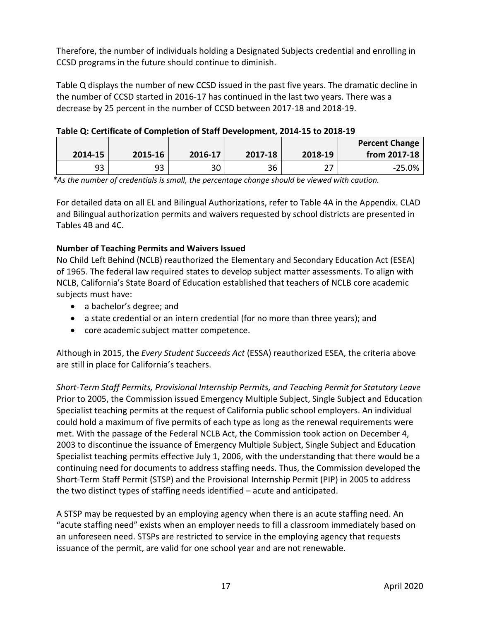Therefore, the number of individuals holding a Designated Subjects credential and enrolling in CCSD programs in the future should continue to diminish.

Table Q displays the number of new CCSD issued in the past five years. The dramatic decline in the number of CCSD started in 2016-17 has continued in the last two years. There was a decrease by 25 percent in the number of CCSD between 2017-18 and 2018-19.

| Table Q: Certificate of Completion of Staff Development, 2014-15 to 2018-19 |  |  |  |
|-----------------------------------------------------------------------------|--|--|--|
|-----------------------------------------------------------------------------|--|--|--|

|         |         |         |         |         | <b>Percent Change</b> |
|---------|---------|---------|---------|---------|-----------------------|
| 2014-15 | 2015-16 | 2016-17 | 2017-18 | 2018-19 | from 2017-18          |
| 93      | 93      | 30      | 36      | 77      | $-25.0%$              |

*\*As the number of credentials is small, the percentage change should be viewed with caution.*

For detailed data on all EL and Bilingual Authorizations, refer to Table 4A in the Appendix. CLAD and Bilingual authorization permits and waivers requested by school districts are presented in Tables 4B and 4C.

# <span id="page-20-0"></span>**Number of Teaching Permits and Waivers Issued**

No Child Left Behind (NCLB) reauthorized the Elementary and Secondary Education Act (ESEA) of 1965. The federal law required states to develop subject matter assessments. To align with NCLB, California's State Board of Education established that teachers of NCLB core academic subjects must have:

- a bachelor's degree; and
- a state credential or an intern credential (for no more than three years); and
- core academic subject matter competence.

Although in 2015, the *Every Student Succeeds Act* (ESSA) reauthorized ESEA, the criteria above are still in place for California's teachers.

*Short-Term Staff Permits, Provisional Internship Permits, and Teaching Permit for Statutory Leave* Prior to 2005, the Commission issued Emergency Multiple Subject, Single Subject and Education Specialist teaching permits at the request of California public school employers. An individual could hold a maximum of five permits of each type as long as the renewal requirements were met. With the passage of the Federal NCLB Act, the Commission took action on December 4, 2003 to discontinue the issuance of Emergency Multiple Subject, Single Subject and Education Specialist teaching permits effective July 1, 2006, with the understanding that there would be a continuing need for documents to address staffing needs. Thus, the Commission developed the Short-Term Staff Permit (STSP) and the Provisional Internship Permit (PIP) in 2005 to address the two distinct types of staffing needs identified – acute and anticipated.

A STSP may be requested by an employing agency when there is an acute staffing need. An "acute staffing need" exists when an employer needs to fill a classroom immediately based on an unforeseen need. STSPs are restricted to service in the employing agency that requests issuance of the permit, are valid for one school year and are not renewable.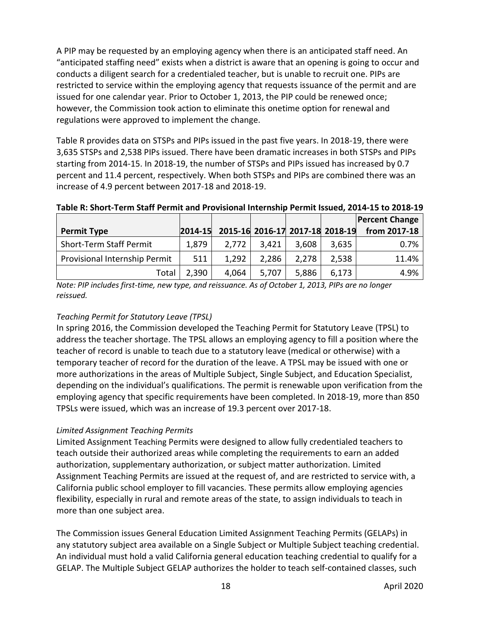A PIP may be requested by an employing agency when there is an anticipated staff need. An "anticipated staffing need" exists when a district is aware that an opening is going to occur and conducts a diligent search for a credentialed teacher, but is unable to recruit one. PIPs are restricted to service within the employing agency that requests issuance of the permit and are issued for one calendar year. Prior to October 1, 2013, the PIP could be renewed once; however, the Commission took action to eliminate this onetime option for renewal and regulations were approved to implement the change.

Table R provides data on STSPs and PIPs issued in the past five years. In 2018-19, there were 3,635 STSPs and 2,538 PIPs issued. There have been dramatic increases in both STSPs and PIPs starting from 2014-15. In 2018-19, the number of STSPs and PIPs issued has increased by 0.7 percent and 11.4 percent, respectively. When both STSPs and PIPs are combined there was an increase of 4.9 percent between 2017-18 and 2018-19.

|                                |               |       |       |                                 |       | <b>Percent Change</b> |
|--------------------------------|---------------|-------|-------|---------------------------------|-------|-----------------------|
| <b>Permit Type</b>             | $ 2014 - 15 $ |       |       | 2015-16 2016-17 2017-18 2018-19 |       | from 2017-18          |
| <b>Short-Term Staff Permit</b> | 1,879         | 2.772 | 3.421 | 3,608                           | 3,635 | 0.7%                  |
| Provisional Internship Permit  | 511           | 1,292 | 2,286 | 2.278                           | 2,538 | 11.4%                 |
| Total                          | 2,390         | 4,064 | 5,707 | 5,886                           | 6,173 | 4.9%                  |

#### **Table R: Short-Term Staff Permit and Provisional Internship Permit Issued, 2014-15 to 2018-19**

*Note: PIP includes first-time, new type, and reissuance. As of October 1, 2013, PIPs are no longer reissued.*

# *Teaching Permit for Statutory Leave (TPSL)*

In spring 2016, the Commission developed the Teaching Permit for Statutory Leave (TPSL) to address the teacher shortage. The TPSL allows an employing agency to fill a position where the teacher of record is unable to teach due to a statutory leave (medical or otherwise) with a temporary teacher of record for the duration of the leave. A TPSL may be issued with one or more authorizations in the areas of Multiple Subject, Single Subject, and Education Specialist, depending on the individual's qualifications. The permit is renewable upon verification from the employing agency that specific requirements have been completed. In 2018-19, more than 850 TPSLs were issued, which was an increase of 19.3 percent over 2017-18.

# *Limited Assignment Teaching Permits*

Limited Assignment Teaching Permits were designed to allow fully credentialed teachers to teach outside their authorized areas while completing the requirements to earn an added authorization, supplementary authorization, or subject matter authorization. Limited Assignment Teaching Permits are issued at the request of, and are restricted to service with, a California public school employer to fill vacancies. These permits allow employing agencies flexibility, especially in rural and remote areas of the state, to assign individuals to teach in more than one subject area.

The Commission issues General Education Limited Assignment Teaching Permits (GELAPs) in any statutory subject area available on a Single Subject or Multiple Subject teaching credential. An individual must hold a valid California general education teaching credential to qualify for a GELAP. The Multiple Subject GELAP authorizes the holder to teach self-contained classes, such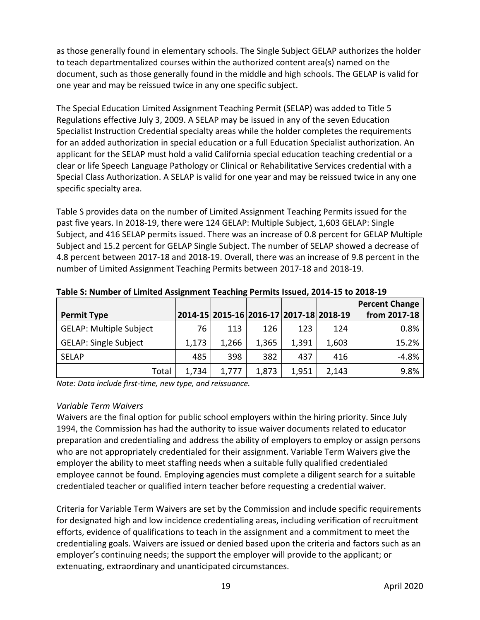as those generally found in elementary schools. The Single Subject GELAP authorizes the holder to teach departmentalized courses within the authorized content area(s) named on the document, such as those generally found in the middle and high schools. The GELAP is valid for one year and may be reissued twice in any one specific subject.

The Special Education Limited Assignment Teaching Permit (SELAP) was added to Title 5 Regulations effective July 3, 2009. A SELAP may be issued in any of the seven Education Specialist Instruction Credential specialty areas while the holder completes the requirements for an added authorization in special education or a full Education Specialist authorization. An applicant for the SELAP must hold a valid California special education teaching credential or a clear or life Speech Language Pathology or Clinical or Rehabilitative Services credential with a Special Class Authorization. A SELAP is valid for one year and may be reissued twice in any one specific specialty area.

Table S provides data on the number of Limited Assignment Teaching Permits issued for the past five years. In 2018-19, there were 124 GELAP: Multiple Subject, 1,603 GELAP: Single Subject, and 416 SELAP permits issued. There was an increase of 0.8 percent for GELAP Multiple Subject and 15.2 percent for GELAP Single Subject. The number of SELAP showed a decrease of 4.8 percent between 2017-18 and 2018-19. Overall, there was an increase of 9.8 percent in the number of Limited Assignment Teaching Permits between 2017-18 and 2018-19.

|                                |       |       |       |       |                                         | <b>Percent Change</b> |
|--------------------------------|-------|-------|-------|-------|-----------------------------------------|-----------------------|
| <b>Permit Type</b>             |       |       |       |       | 2014-15 2015-16 2016-17 2017-18 2018-19 | from 2017-18          |
| <b>GELAP: Multiple Subject</b> | 76    | 113   | 126   | 123   | 124                                     | 0.8%                  |
| <b>GELAP: Single Subject</b>   | 1,173 | 1,266 | 1,365 | 1,391 | 1,603                                   | 15.2%                 |
| <b>SELAP</b>                   | 485   | 398   | 382   | 437   | 416                                     | $-4.8%$               |
| Total                          | 1,734 | 1,777 | 1,873 | 1,951 | 2,143                                   | 9.8%                  |

**Table S: Number of Limited Assignment Teaching Permits Issued, 2014-15 to 2018-19**

*Note: Data include first-time, new type, and reissuance.* 

# *Variable Term Waivers*

Waivers are the final option for public school employers within the hiring priority. Since July 1994, the Commission has had the authority to issue waiver documents related to educator preparation and credentialing and address the ability of employers to employ or assign persons who are not appropriately credentialed for their assignment. Variable Term Waivers give the employer the ability to meet staffing needs when a suitable fully qualified credentialed employee cannot be found. Employing agencies must complete a diligent search for a suitable credentialed teacher or qualified intern teacher before requesting a credential waiver.

Criteria for Variable Term Waivers are set by the Commission and include specific requirements for designated high and low incidence credentialing areas, including verification of recruitment efforts, evidence of qualifications to teach in the assignment and a commitment to meet the credentialing goals. Waivers are issued or denied based upon the criteria and factors such as an employer's continuing needs; the support the employer will provide to the applicant; or extenuating, extraordinary and unanticipated circumstances.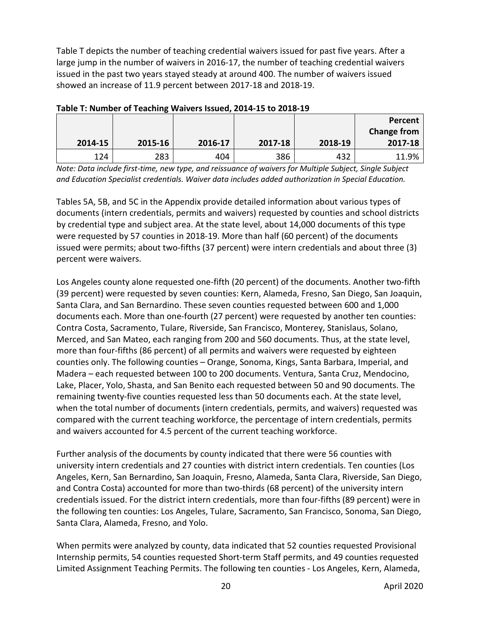Table T depicts the number of teaching credential waivers issued for past five years. After a large jump in the number of waivers in 2016-17, the number of teaching credential waivers issued in the past two years stayed steady at around 400. The number of waivers issued showed an increase of 11.9 percent between 2017-18 and 2018-19.

| TODIC TO INDITIOUS OF FUGURING VEGIVUS ISSUUD, EVIT IS TO EVID IS |         |         |         |         |             |  |  |  |  |
|-------------------------------------------------------------------|---------|---------|---------|---------|-------------|--|--|--|--|
|                                                                   |         |         |         |         | Percent     |  |  |  |  |
|                                                                   |         |         |         |         | Change from |  |  |  |  |
| 2014-15                                                           | 2015-16 | 2016-17 | 2017-18 | 2018-19 | 2017-18     |  |  |  |  |
| 124                                                               | 283     | 404     | 386     | 432     | 11.9%       |  |  |  |  |

**Table T: Number of Teaching Waivers Issued, 2014-15 to 2018-19**

*Note: Data include first-time, new type, and reissuance of waivers for Multiple Subject, Single Subject and Education Specialist credentials. Waiver data includes added authorization in Special Education.*

Tables 5A, 5B, and 5C in the Appendix provide detailed information about various types of documents (intern credentials, permits and waivers) requested by counties and school districts by credential type and subject area. At the state level, about 14,000 documents of this type were requested by 57 counties in 2018-19. More than half (60 percent) of the documents issued were permits; about two-fifths (37 percent) were intern credentials and about three (3) percent were waivers.

Los Angeles county alone requested one-fifth (20 percent) of the documents. Another two-fifth (39 percent) were requested by seven counties: Kern, Alameda, Fresno, San Diego, San Joaquin, Santa Clara, and San Bernardino. These seven counties requested between 600 and 1,000 documents each. More than one-fourth (27 percent) were requested by another ten counties: Contra Costa, Sacramento, Tulare, Riverside, San Francisco, Monterey, Stanislaus, Solano, Merced, and San Mateo, each ranging from 200 and 560 documents. Thus, at the state level, more than four-fifths (86 percent) of all permits and waivers were requested by eighteen counties only. The following counties – Orange, Sonoma, Kings, Santa Barbara, Imperial, and Madera – each requested between 100 to 200 documents. Ventura, Santa Cruz, Mendocino, Lake, Placer, Yolo, Shasta, and San Benito each requested between 50 and 90 documents. The remaining twenty-five counties requested less than 50 documents each. At the state level, when the total number of documents (intern credentials, permits, and waivers) requested was compared with the current teaching workforce, the percentage of intern credentials, permits and waivers accounted for 4.5 percent of the current teaching workforce.

Further analysis of the documents by county indicated that there were 56 counties with university intern credentials and 27 counties with district intern credentials. Ten counties (Los Angeles, Kern, San Bernardino, San Joaquin, Fresno, Alameda, Santa Clara, Riverside, San Diego, and Contra Costa) accounted for more than two-thirds (68 percent) of the university intern credentials issued. For the district intern credentials, more than four-fifths (89 percent) were in the following ten counties: Los Angeles, Tulare, Sacramento, San Francisco, Sonoma, San Diego, Santa Clara, Alameda, Fresno, and Yolo.

When permits were analyzed by county, data indicated that 52 counties requested Provisional Internship permits, 54 counties requested Short-term Staff permits, and 49 counties requested Limited Assignment Teaching Permits. The following ten counties - Los Angeles, Kern, Alameda,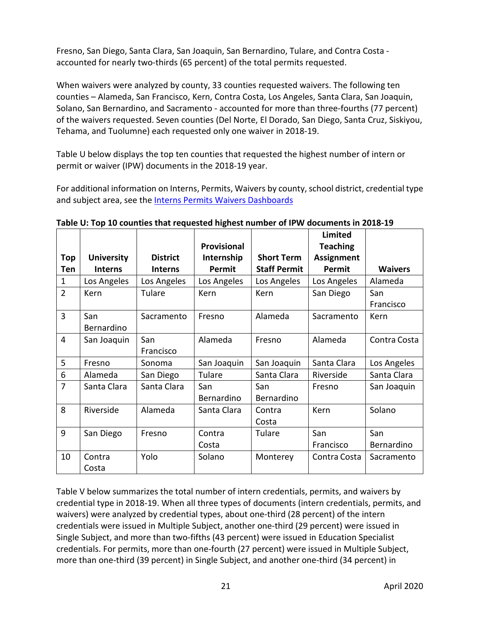Fresno, San Diego, Santa Clara, San Joaquin, San Bernardino, Tulare, and Contra Costa accounted for nearly two-thirds (65 percent) of the total permits requested.

When waivers were analyzed by county, 33 counties requested waivers. The following ten counties – Alameda, San Francisco, Kern, Contra Costa, Los Angeles, Santa Clara, San Joaquin, Solano, San Bernardino, and Sacramento - accounted for more than three-fourths (77 percent) of the waivers requested. Seven counties (Del Norte, El Dorado, San Diego, Santa Cruz, Siskiyou, Tehama, and Tuolumne) each requested only one waiver in 2018-19.

Table U below displays the top ten counties that requested the highest number of intern or permit or waiver (IPW) documents in the 2018-19 year.

For additional information on Interns, Permits, Waivers by county, school district, credential type and subject area, see th[e Interns Permits Waivers Dashboards](https://www.ctc.ca.gov/commission/reports/data/edu-supl-ipw)

|                |                   |                 | <b>Provisional</b> |                     | Limited<br><b>Teaching</b> |                |
|----------------|-------------------|-----------------|--------------------|---------------------|----------------------------|----------------|
| Top            | <b>University</b> | <b>District</b> | Internship         | <b>Short Term</b>   | <b>Assignment</b>          |                |
| Ten            | <b>Interns</b>    | <b>Interns</b>  | Permit             | <b>Staff Permit</b> | Permit                     | <b>Waivers</b> |
| $\mathbf{1}$   | Los Angeles       | Los Angeles     | Los Angeles        | Los Angeles         | Los Angeles                | Alameda        |
| $\overline{2}$ | Kern              | Tulare          | Kern               | Kern                | San Diego                  | San            |
|                |                   |                 |                    |                     |                            | Francisco      |
| 3              | San               | Sacramento      | Fresno             | Alameda             | Sacramento                 | Kern           |
|                | Bernardino        |                 |                    |                     |                            |                |
| 4              | San Joaquin       | San             | Alameda            | Fresno              | Alameda                    | Contra Costa   |
|                |                   | Francisco       |                    |                     |                            |                |
| 5              | Fresno            | Sonoma          | San Joaquin        | San Joaquin         | Santa Clara                | Los Angeles    |
| 6              | Alameda           | San Diego       | Tulare             | Santa Clara         | Riverside                  | Santa Clara    |
| $\overline{7}$ | Santa Clara       | Santa Clara     | San                | San                 | Fresno                     | San Joaquin    |
|                |                   |                 | Bernardino         | Bernardino          |                            |                |
| 8              | Riverside         | Alameda         | Santa Clara        | Contra              | Kern                       | Solano         |
|                |                   |                 |                    | Costa               |                            |                |
| 9              | San Diego         | Fresno          | Contra             | Tulare              | San                        | San            |
|                |                   |                 | Costa              |                     | Francisco                  | Bernardino     |
| 10             | Contra            | Yolo            | Solano             | Monterey            | Contra Costa               | Sacramento     |
|                | Costa             |                 |                    |                     |                            |                |

**Table U: Top 10 counties that requested highest number of IPW documents in 2018-19**

Table V below summarizes the total number of intern credentials, permits, and waivers by credential type in 2018-19. When all three types of documents (intern credentials, permits, and waivers) were analyzed by credential types, about one-third (28 percent) of the intern credentials were issued in Multiple Subject, another one-third (29 percent) were issued in Single Subject, and more than two-fifths (43 percent) were issued in Education Specialist credentials. For permits, more than one-fourth (27 percent) were issued in Multiple Subject, more than one-third (39 percent) in Single Subject, and another one-third (34 percent) in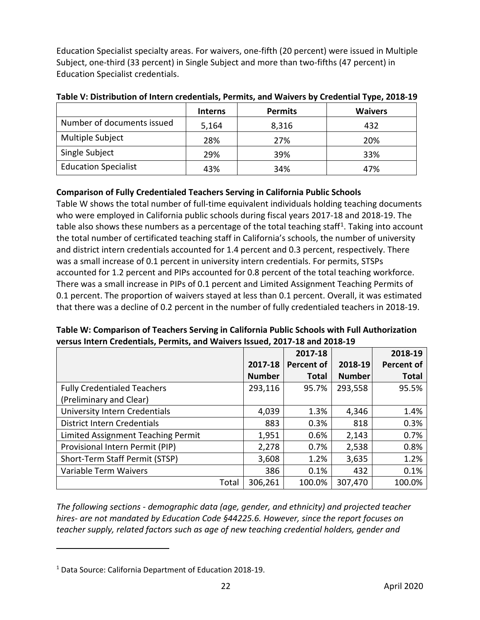Education Specialist specialty areas. For waivers, one-fifth (20 percent) were issued in Multiple Subject, one-third (33 percent) in Single Subject and more than two-fifths (47 percent) in Education Specialist credentials.

|                             | <b>Interns</b> | <b>Permits</b> | <b>Waivers</b> |
|-----------------------------|----------------|----------------|----------------|
| Number of documents issued  | 5,164          | 8,316          | 432            |
| Multiple Subject            | 28%            | 27%            | 20%            |
| Single Subject              | 29%            | 39%            | 33%            |
| <b>Education Specialist</b> | 43%            | 34%            | 47%            |

**Table V: Distribution of Intern credentials, Permits, and Waivers by Credential Type, 2018-19**

# <span id="page-25-0"></span>**Comparison of Fully Credentialed Teachers Serving in California Public Schools**

Table W shows the total number of full-time equivalent individuals holding teaching documents who were employed in California public schools during fiscal years 2017-18 and 2018-19. The table also shows these numbers as a percentage of the total teaching staff<sup>1</sup>. Taking into account the total number of certificated teaching staff in California's schools, the number of university and district intern credentials accounted for 1.4 percent and 0.3 percent, respectively. There was a small increase of 0.1 percent in university intern credentials. For permits, STSPs accounted for 1.2 percent and PIPs accounted for 0.8 percent of the total teaching workforce. There was a small increase in PIPs of 0.1 percent and Limited Assignment Teaching Permits of 0.1 percent. The proportion of waivers stayed at less than 0.1 percent. Overall, it was estimated that there was a decline of 0.2 percent in the number of fully credentialed teachers in 2018-19.

|                                    |               | 2017-18           |               | 2018-19           |
|------------------------------------|---------------|-------------------|---------------|-------------------|
|                                    | 2017-18       | <b>Percent of</b> | 2018-19       | <b>Percent of</b> |
|                                    | <b>Number</b> | <b>Total</b>      | <b>Number</b> | <b>Total</b>      |
| <b>Fully Credentialed Teachers</b> | 293,116       | 95.7%             | 293,558       | 95.5%             |
| (Preliminary and Clear)            |               |                   |               |                   |
| University Intern Credentials      | 4,039         | 1.3%              | 4,346         | 1.4%              |
| <b>District Intern Credentials</b> | 883           | 0.3%              | 818           | 0.3%              |
| Limited Assignment Teaching Permit | 1,951         | 0.6%              | 2,143         | 0.7%              |
| Provisional Intern Permit (PIP)    | 2,278         | 0.7%              | 2,538         | 0.8%              |
| Short-Term Staff Permit (STSP)     | 3,608         | 1.2%              | 3,635         | 1.2%              |
| Variable Term Waivers              | 386           | 0.1%              | 432           | 0.1%              |
| Total                              | 306,261       | 100.0%            | 307,470       | 100.0%            |

**Table W: Comparison of Teachers Serving in California Public Schools with Full Authorization versus Intern Credentials, Permits, and Waivers Issued, 2017-18 and 2018-19**

*The following sections - demographic data (age, gender, and ethnicity) and projected teacher hires- are not mandated by Education Code §44225.6. However, since the report focuses on teacher supply, related factors such as age of new teaching credential holders, gender and* 

 $\overline{a}$ 

<span id="page-25-1"></span><sup>1</sup> Data Source: California Department of Education 2018-19.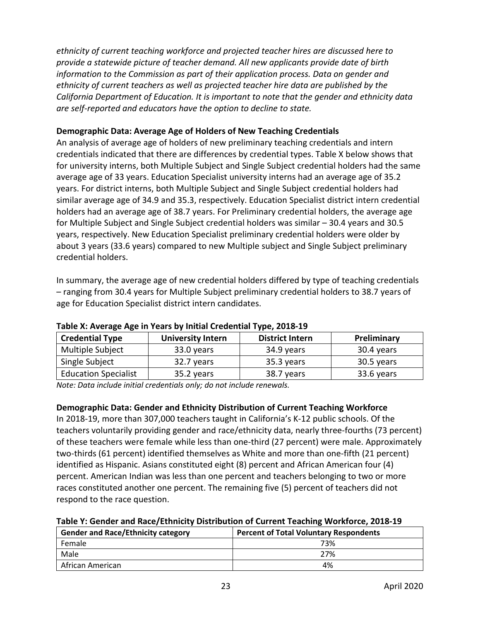*ethnicity of current teaching workforce and projected teacher hires are discussed here to provide a statewide picture of teacher demand. All new applicants provide date of birth information to the Commission as part of their application process. Data on gender and ethnicity of current teachers as well as projected teacher hire data are published by the California Department of Education. It is important to note that the gender and ethnicity data are self-reported and educators have the option to decline to state.*

#### <span id="page-26-0"></span>**Demographic Data: Average Age of Holders of New Teaching Credentials**

An analysis of average age of holders of new preliminary teaching credentials and intern credentials indicated that there are differences by credential types. Table X below shows that for university interns, both Multiple Subject and Single Subject credential holders had the same average age of 33 years. Education Specialist university interns had an average age of 35.2 years. For district interns, both Multiple Subject and Single Subject credential holders had similar average age of 34.9 and 35.3, respectively. Education Specialist district intern credential holders had an average age of 38.7 years. For Preliminary credential holders, the average age for Multiple Subject and Single Subject credential holders was similar – 30.4 years and 30.5 years, respectively. New Education Specialist preliminary credential holders were older by about 3 years (33.6 years) compared to new Multiple subject and Single Subject preliminary credential holders.

In summary, the average age of new credential holders differed by type of teaching credentials – ranging from 30.4 years for Multiple Subject preliminary credential holders to 38.7 years of age for Education Specialist district intern candidates.

| <b>Credential Type</b>      | <b>University Intern</b> | <b>District Intern</b> | Preliminary |  |  |  |  |
|-----------------------------|--------------------------|------------------------|-------------|--|--|--|--|
| Multiple Subject            | 33.0 years               | 34.9 years             | 30.4 years  |  |  |  |  |
| Single Subject              | 32.7 years               | 35.3 years             | 30.5 years  |  |  |  |  |
| <b>Education Specialist</b> | 35.2 years               | 38.7 years             | 33.6 years  |  |  |  |  |

#### **Table X: Average Age in Years by Initial Credential Type, 2018-19**

*Note: Data include initial credentials only; do not include renewals.*

# <span id="page-26-1"></span>**Demographic Data: Gender and Ethnicity Distribution of Current Teaching Workforce**

In 2018-19, more than 307,000 teachers taught in California's K-12 public schools. Of the teachers voluntarily providing gender and race/ethnicity data, nearly three-fourths (73 percent) of these teachers were female while less than one-third (27 percent) were male. Approximately two-thirds (61 percent) identified themselves as White and more than one-fifth (21 percent) identified as Hispanic. Asians constituted eight (8) percent and African American four (4) percent. American Indian was less than one percent and teachers belonging to two or more races constituted another one percent. The remaining five (5) percent of teachers did not respond to the race question.

| Table Y: Gender and Race/Ethnicity Distribution of Current Teaching Workforce, 2018-19 |  |  |  |
|----------------------------------------------------------------------------------------|--|--|--|
|----------------------------------------------------------------------------------------|--|--|--|

| <b>Gender and Race/Ethnicity category</b> | <b>Percent of Total Voluntary Respondents</b> |  |  |  |  |
|-------------------------------------------|-----------------------------------------------|--|--|--|--|
| Female                                    | 73%                                           |  |  |  |  |
| Male                                      | 27%                                           |  |  |  |  |
| African American                          | 4%                                            |  |  |  |  |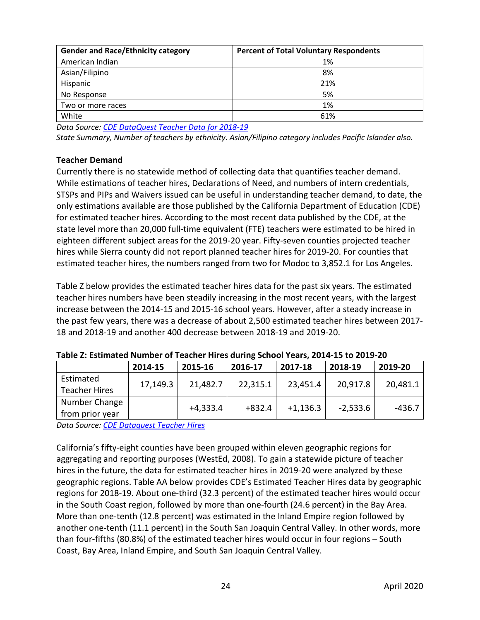| <b>Gender and Race/Ethnicity category</b> | <b>Percent of Total Voluntary Respondents</b> |
|-------------------------------------------|-----------------------------------------------|
| American Indian                           | 1%                                            |
| Asian/Filipino                            | 8%                                            |
| Hispanic                                  | 21%                                           |
| No Response                               | 5%                                            |
| Two or more races                         | 1%                                            |
| White                                     | 61%                                           |

*Data Source[: CDE DataQuest Teacher Data for 2018-19](https://dq.cde.ca.gov/dataquest/Staff/StaffByEth.aspx?cLevel=State&cYear=2018-19&cChoice=StateNum&cType=T&cGender=B&Submit=1)*

*State Summary, Number of teachers by ethnicity. Asian/Filipino category includes Pacific Islander also.*

# <span id="page-27-0"></span>**Teacher Demand**

Currently there is no statewide method of collecting data that quantifies teacher demand. While estimations of teacher hires, Declarations of Need, and numbers of intern credentials, STSPs and PIPs and Waivers issued can be useful in understanding teacher demand, to date, the only estimations available are those published by the California Department of Education (CDE) for estimated teacher hires. According to the most recent data published by the CDE, at the state level more than 20,000 full-time equivalent (FTE) teachers were estimated to be hired in eighteen different subject areas for the 2019-20 year. Fifty-seven counties projected teacher hires while Sierra county did not report planned teacher hires for 2019-20. For counties that estimated teacher hires, the numbers ranged from two for Modoc to 3,852.1 for Los Angeles.

Table Z below provides the estimated teacher hires data for the past six years. The estimated teacher hires numbers have been steadily increasing in the most recent years, with the largest increase between the 2014-15 and 2015-16 school years. However, after a steady increase in the past few years, there was a decrease of about 2,500 estimated teacher hires between 2017- 18 and 2018-19 and another 400 decrease between 2018-19 and 2019-20.

|                      | 2014-15  | 2015-16    | 2016-17  | 2017-18    | 2018-19    | 2019-20  |  |  |
|----------------------|----------|------------|----------|------------|------------|----------|--|--|
| Estimated            | 17,149.3 | 21,482.7   | 22,315.1 | 23,451.4   | 20,917.8   | 20,481.1 |  |  |
| <b>Teacher Hires</b> |          |            |          |            |            |          |  |  |
| Number Change        |          | $+4,333.4$ | $+832.4$ | $+1,136.3$ | $-2,533.6$ |          |  |  |
| from prior year      |          |            |          |            |            | -436.7   |  |  |

#### **Table Z: Estimated Number of Teacher Hires during School Years, 2014-15 to 2019-20**

*Data Source[: CDE Dataquest Teacher Hires](https://dq.cde.ca.gov/dataquest/dqcensus/StfTchHires.aspx?cdcode=00&agglevel=State&year=2019-20)*

California's fifty-eight counties have been grouped within eleven geographic regions for aggregating and reporting purposes (WestEd, 2008). To gain a statewide picture of teacher hires in the future, the data for estimated teacher hires in 2019-20 were analyzed by these geographic regions. Table AA below provides CDE's Estimated Teacher Hires data by geographic regions for 2018-19. About one-third (32.3 percent) of the estimated teacher hires would occur in the South Coast region, followed by more than one-fourth (24.6 percent) in the Bay Area. More than one-tenth (12.8 percent) was estimated in the Inland Empire region followed by another one-tenth (11.1 percent) in the South San Joaquin Central Valley. In other words, more than four-fifths (80.8%) of the estimated teacher hires would occur in four regions – South Coast, Bay Area, Inland Empire, and South San Joaquin Central Valley.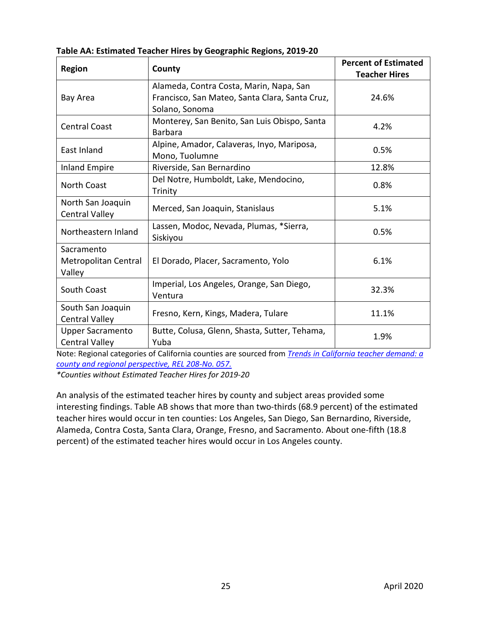| Table AA: Estimated Teacher Hires by Geographic Regions, 2019-20 |
|------------------------------------------------------------------|
|------------------------------------------------------------------|

| <b>Region</b>                                    | County                                                                                                      | <b>Percent of Estimated</b><br><b>Teacher Hires</b> |
|--------------------------------------------------|-------------------------------------------------------------------------------------------------------------|-----------------------------------------------------|
| Bay Area                                         | Alameda, Contra Costa, Marin, Napa, San<br>Francisco, San Mateo, Santa Clara, Santa Cruz,<br>Solano, Sonoma | 24.6%                                               |
| <b>Central Coast</b>                             | Monterey, San Benito, San Luis Obispo, Santa<br><b>Barbara</b>                                              | 4.2%                                                |
| East Inland                                      | Alpine, Amador, Calaveras, Inyo, Mariposa,<br>Mono, Tuolumne                                                | 0.5%                                                |
| <b>Inland Empire</b>                             | Riverside, San Bernardino                                                                                   | 12.8%                                               |
| <b>North Coast</b>                               | Del Notre, Humboldt, Lake, Mendocino,<br>Trinity                                                            | 0.8%                                                |
| North San Joaquin<br><b>Central Valley</b>       | Merced, San Joaquin, Stanislaus                                                                             | 5.1%                                                |
| Northeastern Inland                              | Lassen, Modoc, Nevada, Plumas, *Sierra,<br>Siskiyou                                                         | 0.5%                                                |
| Sacramento<br>Metropolitan Central<br>Valley     | El Dorado, Placer, Sacramento, Yolo                                                                         | 6.1%                                                |
| South Coast                                      | Imperial, Los Angeles, Orange, San Diego,<br>Ventura                                                        | 32.3%                                               |
| South San Joaquin<br><b>Central Valley</b>       | Fresno, Kern, Kings, Madera, Tulare                                                                         | 11.1%                                               |
| <b>Upper Sacramento</b><br><b>Central Valley</b> | Butte, Colusa, Glenn, Shasta, Sutter, Tehama,<br>Yuba                                                       | 1.9%                                                |

Note: Regional categories of California counties are sourced from *[Trends in California teacher demand: a](https://eric.ed.gov/?id=ED502239)  [county and regional perspective, REL 208-No. 057.](https://eric.ed.gov/?id=ED502239)*

*\*Counties without Estimated Teacher Hires for 2019-20*

An analysis of the estimated teacher hires by county and subject areas provided some interesting findings. Table AB shows that more than two-thirds (68.9 percent) of the estimated teacher hires would occur in ten counties: Los Angeles, San Diego, San Bernardino, Riverside, Alameda, Contra Costa, Santa Clara, Orange, Fresno, and Sacramento. About one-fifth (18.8 percent) of the estimated teacher hires would occur in Los Angeles county.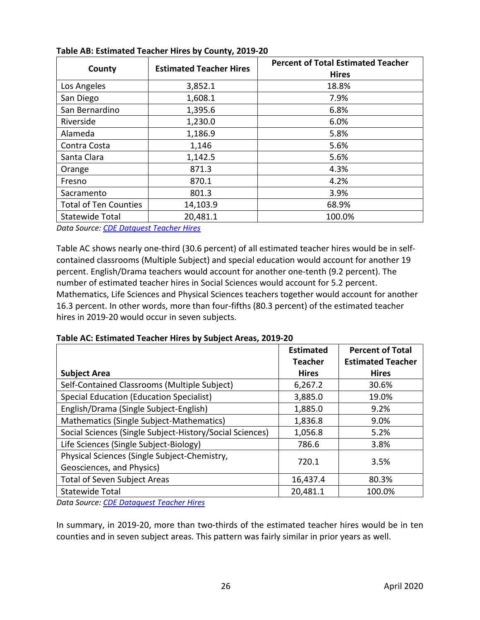| County                       | <b>Estimated Teacher Hires</b> | <b>Percent of Total Estimated Teacher</b><br><b>Hires</b> |
|------------------------------|--------------------------------|-----------------------------------------------------------|
| Los Angeles                  | 3,852.1                        | 18.8%                                                     |
| San Diego                    | 1,608.1                        | 7.9%                                                      |
| San Bernardino               | 1,395.6                        | 6.8%                                                      |
| Riverside                    | 1,230.0                        | 6.0%                                                      |
| Alameda                      | 1,186.9                        | 5.8%                                                      |
| Contra Costa                 | 1,146                          | 5.6%                                                      |
| Santa Clara                  | 1,142.5                        | 5.6%                                                      |
| Orange                       | 871.3                          | 4.3%                                                      |
| Fresno                       | 870.1                          | 4.2%                                                      |
| Sacramento                   | 801.3                          | 3.9%                                                      |
| <b>Total of Ten Counties</b> | 14,103.9                       | 68.9%                                                     |
| <b>Statewide Total</b>       | 20,481.1                       | 100.0%                                                    |

#### **Table AB: Estimated Teacher Hires by County, 2019-20**

*Data Source[: CDE Datquest Teacher Hires](https://dq.cde.ca.gov/dataquest/dqcensus/StfTchHires.aspx?cdcode=00&agglevel=State&year=2019-20)*

Table AC shows nearly one-third (30.6 percent) of all estimated teacher hires would be in selfcontained classrooms (Multiple Subject) and special education would account for another 19 percent. English/Drama teachers would account for another one-tenth (9.2 percent). The number of estimated teacher hires in Social Sciences would account for 5.2 percent. Mathematics, Life Sciences and Physical Sciences teachers together would account for another 16.3 percent. In other words, more than four-fifths (80.3 percent) of the estimated teacher hires in 2019-20 would occur in seven subjects.

**Table AC: Estimated Teacher Hires by Subject Areas, 2019-20**

|                                                          | <b>Estimated</b> | <b>Percent of Total</b>  |       |
|----------------------------------------------------------|------------------|--------------------------|-------|
|                                                          | <b>Teacher</b>   | <b>Estimated Teacher</b> |       |
| <b>Subject Area</b>                                      | <b>Hires</b>     | <b>Hires</b>             |       |
| Self-Contained Classrooms (Multiple Subject)             | 6,267.2          | 30.6%                    |       |
| <b>Special Education (Education Specialist)</b>          | 3,885.0          | 19.0%                    |       |
| English/Drama (Single Subject-English)                   | 1,885.0          | 9.2%                     |       |
| Mathematics (Single Subject-Mathematics)                 | 1,836.8          | 9.0%                     |       |
| Social Sciences (Single Subject-History/Social Sciences) | 1,056.8          | 5.2%                     |       |
| Life Sciences (Single Subject-Biology)                   | 786.6            | 3.8%                     |       |
| Physical Sciences (Single Subject-Chemistry,             | 3.5%             |                          | 720.1 |
| Geosciences, and Physics)                                |                  |                          |       |
| <b>Total of Seven Subject Areas</b>                      | 16,437.4         | 80.3%                    |       |
| <b>Statewide Total</b>                                   | 20,481.1         | 100.0%                   |       |

*Data Source[: CDE Dataquest Teacher Hires](https://dq.cde.ca.gov/dataquest/dqcensus/StfTchHires.aspx?cdcode=00&agglevel=State&year=2019-20)*

In summary, in 2019-20, more than two-thirds of the estimated teacher hires would be in ten counties and in seven subject areas. This pattern was fairly similar in prior years as well.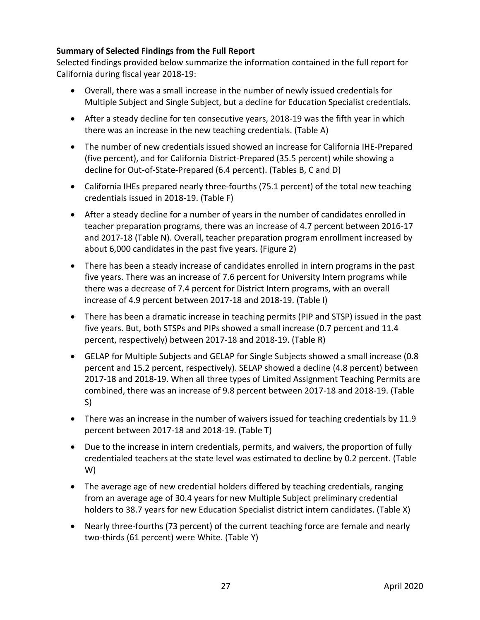# <span id="page-30-0"></span>**Summary of Selected Findings from the Full Report**

Selected findings provided below summarize the information contained in the full report for California during fiscal year 2018-19:

- Overall, there was a small increase in the number of newly issued credentials for Multiple Subject and Single Subject, but a decline for Education Specialist credentials.
- After a steady decline for ten consecutive years, 2018-19 was the fifth year in which there was an increase in the new teaching credentials. (Table A)
- The number of new credentials issued showed an increase for California IHE-Prepared (five percent), and for California District-Prepared (35.5 percent) while showing a decline for Out-of-State-Prepared (6.4 percent). (Tables B, C and D)
- California IHEs prepared nearly three-fourths (75.1 percent) of the total new teaching credentials issued in 2018-19. (Table F)
- After a steady decline for a number of years in the number of candidates enrolled in teacher preparation programs, there was an increase of 4.7 percent between 2016-17 and 2017-18 (Table N). Overall, teacher preparation program enrollment increased by about 6,000 candidates in the past five years. (Figure 2)
- There has been a steady increase of candidates enrolled in intern programs in the past five years. There was an increase of 7.6 percent for University Intern programs while there was a decrease of 7.4 percent for District Intern programs, with an overall increase of 4.9 percent between 2017-18 and 2018-19. (Table I)
- There has been a dramatic increase in teaching permits (PIP and STSP) issued in the past five years. But, both STSPs and PIPs showed a small increase (0.7 percent and 11.4 percent, respectively) between 2017-18 and 2018-19. (Table R)
- GELAP for Multiple Subjects and GELAP for Single Subjects showed a small increase (0.8 percent and 15.2 percent, respectively). SELAP showed a decline (4.8 percent) between 2017-18 and 2018-19. When all three types of Limited Assignment Teaching Permits are combined, there was an increase of 9.8 percent between 2017-18 and 2018-19. (Table S)
- There was an increase in the number of waivers issued for teaching credentials by 11.9 percent between 2017-18 and 2018-19. (Table T)
- Due to the increase in intern credentials, permits, and waivers, the proportion of fully credentialed teachers at the state level was estimated to decline by 0.2 percent. (Table W)
- The average age of new credential holders differed by teaching credentials, ranging from an average age of 30.4 years for new Multiple Subject preliminary credential holders to 38.7 years for new Education Specialist district intern candidates. (Table X)
- Nearly three-fourths (73 percent) of the current teaching force are female and nearly two-thirds (61 percent) were White. (Table Y)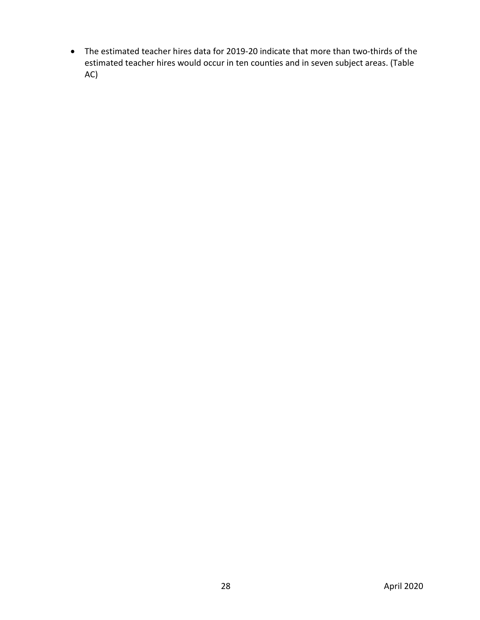• The estimated teacher hires data for 2019-20 indicate that more than two-thirds of the estimated teacher hires would occur in ten counties and in seven subject areas. (Table AC)